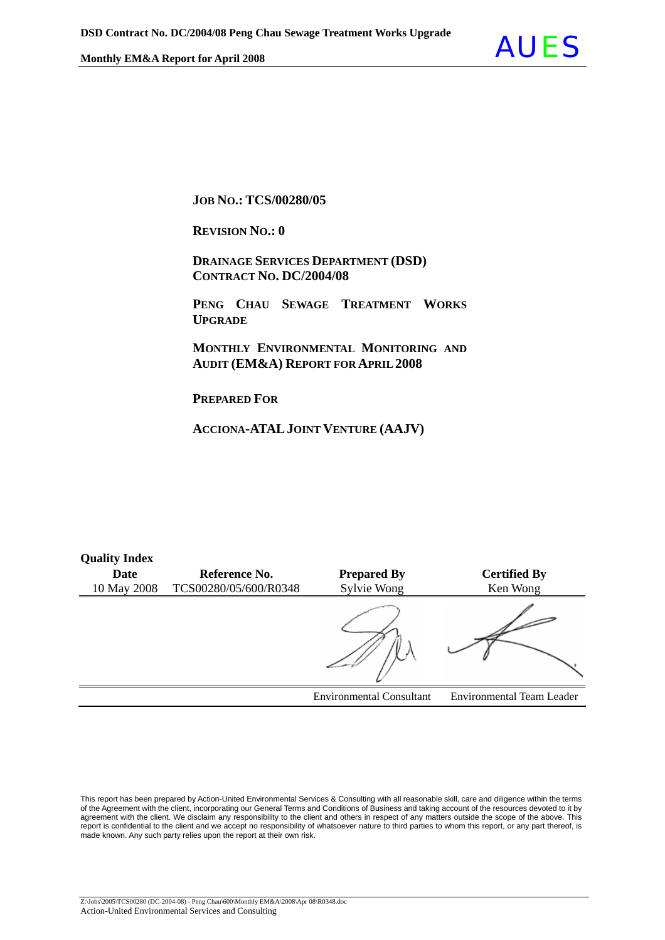

#### **JOB NO.: TCS/00280/05**

**REVISION NO.: 0** 

 **DRAINAGE SERVICES DEPARTMENT (DSD) CONTRACT NO. DC/2004/08**

 **PENG CHAU SEWAGE TREATMENT WORKS UPGRADE**

 **MONTHLY ENVIRONMENTAL MONITORING AND AUDIT (EM&A) REPORT FOR APRIL 2008** 

**PREPARED FOR**

**Quality Index** 

**ACCIONA-ATALJOINT VENTURE (AAJV)**

| <b>Quality Hitley</b> |                       |                                 |                           |
|-----------------------|-----------------------|---------------------------------|---------------------------|
| Date                  | Reference No.         | <b>Prepared By</b>              | <b>Certified By</b>       |
| 10 May 2008           | TCS00280/05/600/R0348 | Sylvie Wong                     | Ken Wong                  |
|                       |                       |                                 |                           |
|                       |                       | <b>Environmental Consultant</b> | Environmental Team Leader |

This report has been prepared by Action-United Environmental Services & Consulting with all reasonable skill, care and diligence within the terms of the Agreement with the client, incorporating our General Terms and Conditions of Business and taking account of the resources devoted to it by agreement with the client. We disclaim any responsibility to the client and others in respect of any matters outside the scope of the above. This report is confidential to the client and we accept no responsibility of whatsoever nature to third parties to whom this report, or any part thereof, is made known. Any such party relies upon the report at their own risk.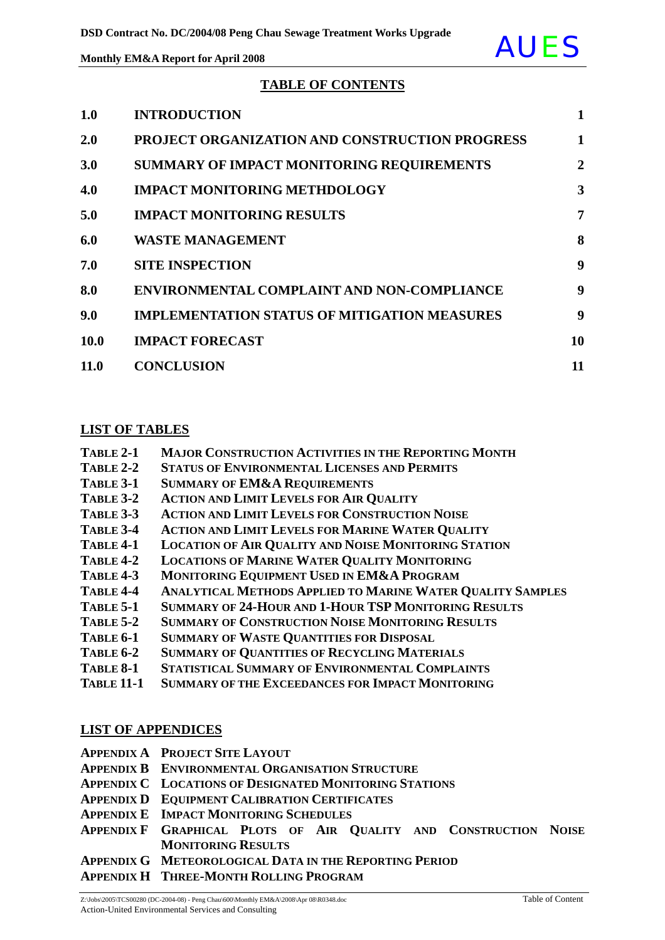

### **TABLE OF CONTENTS**

| 1.0        | <b>INTRODUCTION</b>                                   | $\mathbf{1}$   |
|------------|-------------------------------------------------------|----------------|
| <b>2.0</b> | <b>PROJECT ORGANIZATION AND CONSTRUCTION PROGRESS</b> | 1              |
| 3.0        | SUMMARY OF IMPACT MONITORING REQUIREMENTS             | $\overline{2}$ |
| 4.0        | <b>IMPACT MONITORING METHDOLOGY</b>                   | 3              |
| 5.0        | <b>IMPACT MONITORING RESULTS</b>                      | 7              |
| 6.0        | <b>WASTE MANAGEMENT</b>                               | 8              |
| 7.0        | <b>SITE INSPECTION</b>                                | 9              |
| 8.0        | <b>ENVIRONMENTAL COMPLAINT AND NON-COMPLIANCE</b>     | 9              |
| 9.0        | <b>IMPLEMENTATION STATUS OF MITIGATION MEASURES</b>   | 9              |
| 10.0       | <b>IMPACT FORECAST</b>                                | 10             |
| 11.0       | <b>CONCLUSION</b>                                     | 11             |

#### **LIST OF TABLES**

| TABLE 2-1 | <b>MAJOR CONSTRUCTION ACTIVITIES IN THE REPORTING MONTH</b> |
|-----------|-------------------------------------------------------------|
|           |                                                             |

- **TABLE 2-2 STATUS OF ENVIRONMENTAL LICENSES AND PERMITS**
- **TABLE 3-1 SUMMARY OF EM&A REQUIREMENTS**
- **TABLE 3-2 ACTION AND LIMIT LEVELS FOR AIR QUALITY**
- **TABLE 3-3 ACTION AND LIMIT LEVELS FOR CONSTRUCTION NOISE**
- **TABLE 3-4 ACTION AND LIMIT LEVELS FOR MARINE WATER QUALITY**
- **TABLE 4-1 LOCATION OF AIR QUALITY AND NOISE MONITORING STATION**
- **TABLE 4-2 LOCATIONS OF MARINE WATER QUALITY MONITORING**
- **TABLE 4-3 MONITORING EQUIPMENT USED IN EM&A PROGRAM**
- **TABLE 4-4 ANALYTICAL METHODS APPLIED TO MARINE WATER QUALITY SAMPLES**
- **TABLE 5-1 SUMMARY OF 24-HOUR AND 1-HOUR TSP MONITORING RESULTS**
- **TABLE 5-2 SUMMARY OF CONSTRUCTION NOISE MONITORING RESULTS**
- **TABLE 6-1 SUMMARY OF WASTE QUANTITIES FOR DISPOSAL**
- **TABLE 6-2 SUMMARY OF QUANTITIES OF RECYCLING MATERIALS**
- **TABLE 8-1 STATISTICAL SUMMARY OF ENVIRONMENTAL COMPLAINTS**
- **TABLE 11-1 SUMMARY OF THE EXCEEDANCES FOR IMPACT MONITORING**

### **LIST OF APPENDICES**

- **APPENDIX A PROJECT SITE LAYOUT**
- **APPENDIX B ENVIRONMENTAL ORGANISATION STRUCTURE**
- **APPENDIX C LOCATIONS OF DESIGNATED MONITORING STATIONS**
- **APPENDIX D EQUIPMENT CALIBRATION CERTIFICATES**
- **APPENDIX E IMPACT MONITORING SCHEDULES**
- **APPENDIX F GRAPHICAL PLOTS OF AIR QUALITY AND CONSTRUCTION NOISE MONITORING RESULTS**
- **APPENDIX G METEOROLOGICAL DATA IN THE REPORTING PERIOD**
- **APPENDIX H THREE-MONTH ROLLING PROGRAM**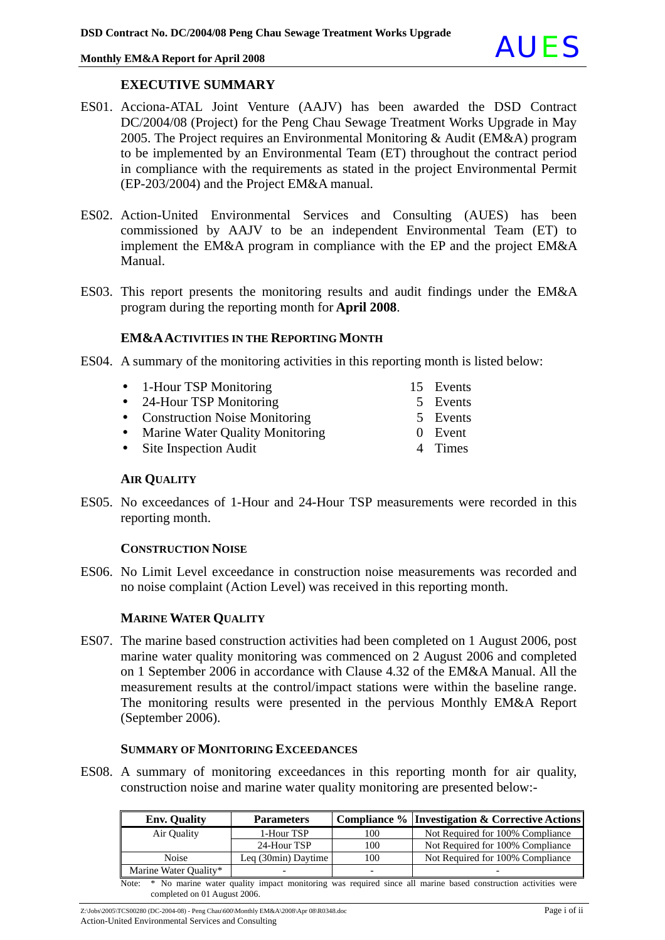#### **EXECUTIVE SUMMARY**

- ES01. Acciona-ATAL Joint Venture (AAJV) has been awarded the DSD Contract DC/2004/08 (Project) for the Peng Chau Sewage Treatment Works Upgrade in May 2005. The Project requires an Environmental Monitoring & Audit (EM&A) program to be implemented by an Environmental Team (ET) throughout the contract period in compliance with the requirements as stated in the project Environmental Permit (EP-203/2004) and the Project EM&A manual.
- ES02. Action-United Environmental Services and Consulting (AUES) has been commissioned by AAJV to be an independent Environmental Team (ET) to implement the EM&A program in compliance with the EP and the project EM&A Manual.
- ES03. This report presents the monitoring results and audit findings under the EM&A program during the reporting month for **April 2008**.

#### **EM&AACTIVITIES IN THE REPORTING MONTH**

- ES04. A summary of the monitoring activities in this reporting month is listed below:
	- 1-Hour TSP Monitoring 15 Events
	- 24-Hour TSP Monitoring 5 Events
	- Construction Noise Monitoring 5 Events
	- Marine Water Quality Monitoring 0 Event
	- Site Inspection Audit 4 Times

**AIR QUALITY**

ES05. No exceedances of 1-Hour and 24-Hour TSP measurements were recorded in this reporting month.

#### **CONSTRUCTION NOISE**

ES06. No Limit Level exceedance in construction noise measurements was recorded and no noise complaint (Action Level) was received in this reporting month.

#### **MARINE WATER QUALITY**

ES07. The marine based construction activities had been completed on 1 August 2006, post marine water quality monitoring was commenced on 2 August 2006 and completed on 1 September 2006 in accordance with Clause 4.32 of the EM&A Manual. All the measurement results at the control/impact stations were within the baseline range. The monitoring results were presented in the pervious Monthly EM&A Report (September 2006).

#### **SUMMARY OF MONITORING EXCEEDANCES**

ES08. A summary of monitoring exceedances in this reporting month for air quality, construction noise and marine water quality monitoring are presented below:-

| <b>Env. Quality</b>   | <b>Parameters</b>   |     | Compliance % Investigation & Corrective Actions                                                                    |
|-----------------------|---------------------|-----|--------------------------------------------------------------------------------------------------------------------|
| Air Ouality           | 1-Hour TSP          | 100 | Not Required for 100% Compliance                                                                                   |
|                       | 24-Hour TSP         | 100 | Not Required for 100% Compliance                                                                                   |
| <b>Noise</b>          | Leg (30min) Daytime | 100 | Not Required for 100% Compliance                                                                                   |
| Marine Water Quality* |                     | -   |                                                                                                                    |
|                       |                     |     | Note: * No marine water quality impact monitoring was required since all marine based construction activities were |

Z:\Jobs\2005\TCS00280 (DC-2004-08) - Peng Chau\600\Monthly EM&A\2008\Apr 08\R0348.doc Page i of ii completed on 01 August 2006.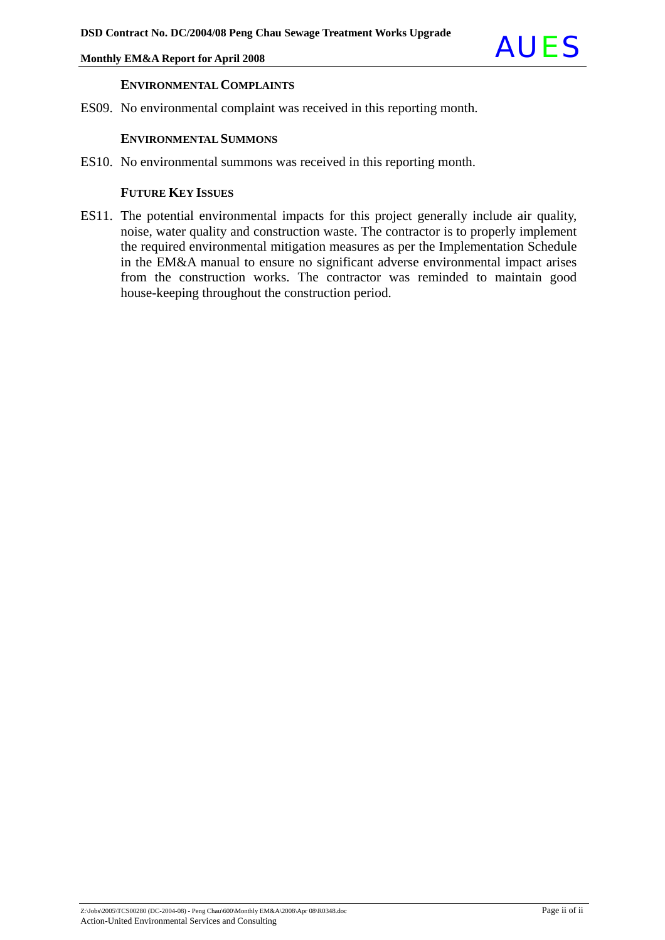

#### **ENVIRONMENTAL COMPLAINTS**

ES09. No environmental complaint was received in this reporting month.

#### **ENVIRONMENTAL SUMMONS**

ES10. No environmental summons was received in this reporting month.

#### **FUTURE KEY ISSUES**

ES11. The potential environmental impacts for this project generally include air quality, noise, water quality and construction waste. The contractor is to properly implement the required environmental mitigation measures as per the Implementation Schedule in the EM&A manual to ensure no significant adverse environmental impact arises from the construction works. The contractor was reminded to maintain good house-keeping throughout the construction period.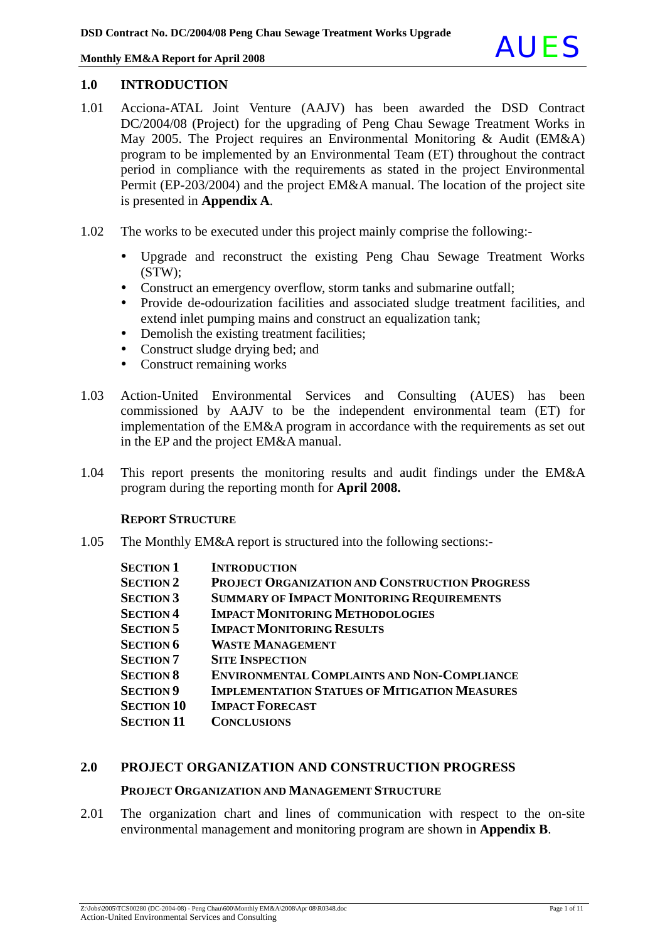

#### **1.0 INTRODUCTION**

- 1.01 Acciona-ATAL Joint Venture (AAJV) has been awarded the DSD Contract DC/2004/08 (Project) for the upgrading of Peng Chau Sewage Treatment Works in May 2005. The Project requires an Environmental Monitoring & Audit (EM&A) program to be implemented by an Environmental Team (ET) throughout the contract period in compliance with the requirements as stated in the project Environmental Permit (EP-203/2004) and the project EM&A manual. The location of the project site is presented in **Appendix A**.
- 1.02 The works to be executed under this project mainly comprise the following:-
	- Upgrade and reconstruct the existing Peng Chau Sewage Treatment Works (STW);
	- Construct an emergency overflow, storm tanks and submarine outfall;
	- Provide de-odourization facilities and associated sludge treatment facilities, and extend inlet pumping mains and construct an equalization tank;
	- Demolish the existing treatment facilities;
	- Construct sludge drying bed; and
	- Construct remaining works
- 1.03 Action-United Environmental Services and Consulting (AUES) has been commissioned by AAJV to be the independent environmental team (ET) for implementation of the EM&A program in accordance with the requirements as set out in the EP and the project EM&A manual.
- 1.04 This report presents the monitoring results and audit findings under the EM&A program during the reporting month for **April 2008.**

#### **REPORT STRUCTURE**

1.05 The Monthly EM&A report is structured into the following sections:-

| <b>SECTION 1</b>  | <b>INTRODUCTION</b>                                   |
|-------------------|-------------------------------------------------------|
| <b>SECTION 2</b>  | <b>PROJECT ORGANIZATION AND CONSTRUCTION PROGRESS</b> |
| <b>SECTION 3</b>  | <b>SUMMARY OF IMPACT MONITORING REQUIREMENTS</b>      |
| <b>SECTION 4</b>  | <b>IMPACT MONITORING METHODOLOGIES</b>                |
| <b>SECTION 5</b>  | <b>IMPACT MONITORING RESULTS</b>                      |
| <b>SECTION 6</b>  | <b>WASTE MANAGEMENT</b>                               |
| <b>SECTION 7</b>  | <b>SITE INSPECTION</b>                                |
| <b>SECTION 8</b>  | <b>ENVIRONMENTAL COMPLAINTS AND NON-COMPLIANCE</b>    |
| <b>SECTION 9</b>  | <b>IMPLEMENTATION STATUES OF MITIGATION MEASURES</b>  |
| <b>SECTION 10</b> | <b>IMPACT FORECAST</b>                                |
| <b>SECTION 11</b> | <b>CONCLUSIONS</b>                                    |

### **2.0 PROJECT ORGANIZATION AND CONSTRUCTION PROGRESS**

#### **PROJECT ORGANIZATION AND MANAGEMENT STRUCTURE**

2.01 The organization chart and lines of communication with respect to the on-site environmental management and monitoring program are shown in **Appendix B**.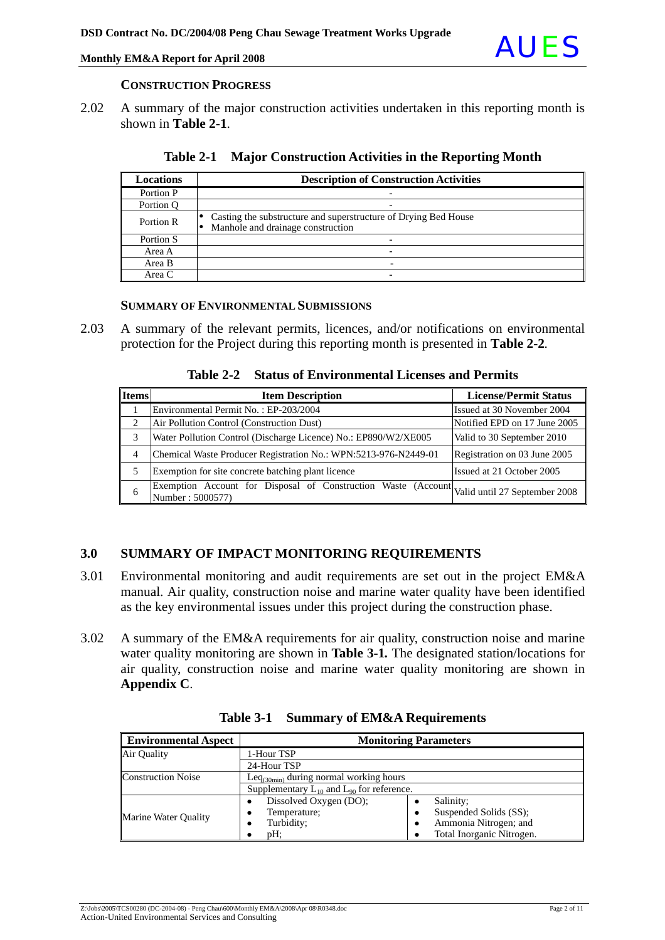#### **CONSTRUCTION PROGRESS**

2.02 A summary of the major construction activities undertaken in this reporting month is shown in **Table 2-1**.

| <b>Locations</b> | <b>Description of Construction Activities</b>                                                        |
|------------------|------------------------------------------------------------------------------------------------------|
| Portion P        |                                                                                                      |
| Portion O        | $\overline{\phantom{0}}$                                                                             |
| Portion R        | Casting the substructure and superstructure of Drying Bed House<br>Manhole and drainage construction |
| Portion S        |                                                                                                      |
| Area A           | -                                                                                                    |
| Area B           |                                                                                                      |
| Area C           |                                                                                                      |

| Table 2-1 Major Construction Activities in the Reporting Month |
|----------------------------------------------------------------|
|                                                                |

#### **SUMMARY OF ENVIRONMENTAL SUBMISSIONS**

2.03 A summary of the relevant permits, licences, and/or notifications on environmental protection for the Project during this reporting month is presented in **Table 2-2***.*

**Table 2-2 Status of Environmental Licenses and Permits** 

| <b>Items</b> | <b>Item Description</b>                                                                                         | <b>License/Permit Status</b> |
|--------------|-----------------------------------------------------------------------------------------------------------------|------------------------------|
|              | Environmental Permit No.: EP-203/2004                                                                           | Issued at 30 November 2004   |
| ↑            | Air Pollution Control (Construction Dust)                                                                       | Notified EPD on 17 June 2005 |
| 3            | Water Pollution Control (Discharge Licence) No.: EP890/W2/XE005                                                 | Valid to 30 September 2010   |
| 4            | Chemical Waste Producer Registration No.: WPN:5213-976-N2449-01                                                 | Registration on 03 June 2005 |
| 5            | Exemption for site concrete batching plant licence                                                              | Issued at 21 October 2005    |
| 6            | Exemption Account for Disposal of Construction Waste (Account Valid until 27 September 2008<br>Number: 5000577) |                              |

### **3.0 SUMMARY OF IMPACT MONITORING REQUIREMENTS**

- 3.01 Environmental monitoring and audit requirements are set out in the project EM&A manual. Air quality, construction noise and marine water quality have been identified as the key environmental issues under this project during the construction phase.
- 3.02 A summary of the EM&A requirements for air quality, construction noise and marine water quality monitoring are shown in **Table 3-1***.* The designated station/locations for air quality, construction noise and marine water quality monitoring are shown in **Appendix C**.

| <b>Environmental Aspect</b> | <b>Monitoring Parameters</b>                       |                           |  |
|-----------------------------|----------------------------------------------------|---------------------------|--|
| Air Quality                 | 1-Hour TSP                                         |                           |  |
|                             | 24-Hour TSP                                        |                           |  |
| <b>Construction Noise</b>   | $Leg_{(30min)}$ during normal working hours        |                           |  |
|                             | Supplementary $L_{10}$ and $L_{90}$ for reference. |                           |  |
|                             | Dissolved Oxygen (DO);                             | Salinity;                 |  |
| Marine Water Ouality        | Temperature;                                       | Suspended Solids (SS);    |  |
|                             | Turbidity;                                         | Ammonia Nitrogen; and     |  |
|                             | pH;                                                | Total Inorganic Nitrogen. |  |

**Table 3-1 Summary of EM&A Requirements**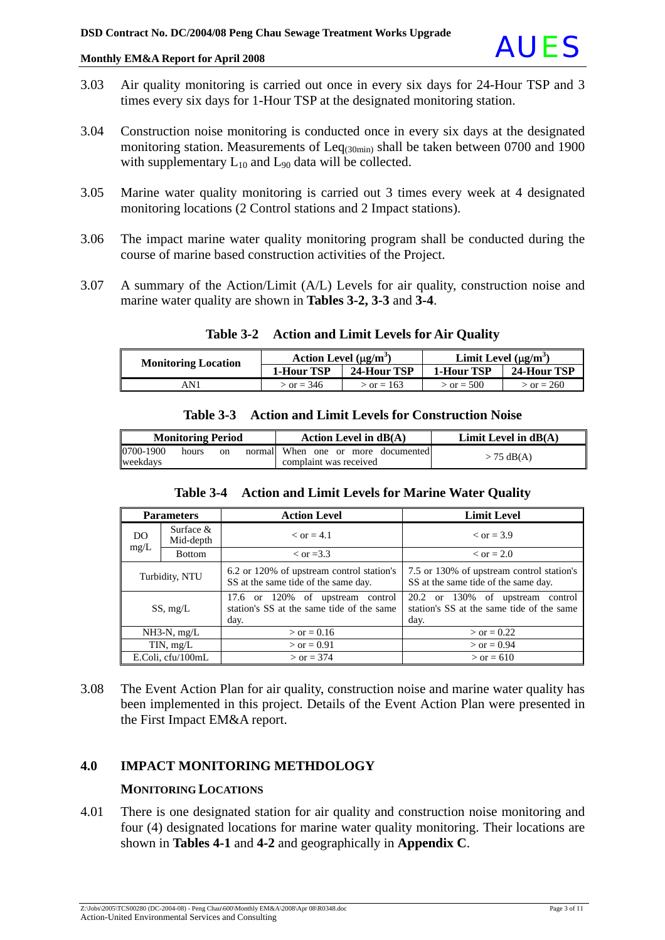

- 3.03 Air quality monitoring is carried out once in every six days for 24-Hour TSP and 3 times every six days for 1-Hour TSP at the designated monitoring station.
- 3.04 Construction noise monitoring is conducted once in every six days at the designated monitoring station. Measurements of  $\text{Leq}_{(30\text{min})}$  shall be taken between 0700 and 1900 with supplementary  $L_{10}$  and  $L_{90}$  data will be collected.
- 3.05 Marine water quality monitoring is carried out 3 times every week at 4 designated monitoring locations (2 Control stations and 2 Impact stations).
- 3.06 The impact marine water quality monitoring program shall be conducted during the course of marine based construction activities of the Project.
- 3.07 A summary of the Action/Limit (A/L) Levels for air quality, construction noise and marine water quality are shown in **Tables 3-2, 3-3** and **3-4**.

| <b>Monitoring Location</b> | Action Level $(\mu g/m^3)$ |                     | Limit Level $(\mu g/m^3)$ |              |
|----------------------------|----------------------------|---------------------|---------------------------|--------------|
|                            | <b>1-Hour TSP</b>          | 24-Hour TSP         | 1-Hour TSP                | 24-Hour TSP  |
| AN 1                       | $\sigma = 346$             | $\sqrt{2}$ or = 163 | $\sigma = 500$            | $>$ or = 260 |

#### **Table 3-2 Action and Limit Levels for Air Quality**

| Table 3-3                | <b>Action and Limit Levels for Construction Noise</b> |                        |
|--------------------------|-------------------------------------------------------|------------------------|
| <b>Monitoring Period</b> | Action Level in $dB(A)$                               | Limit Level in $dB(A)$ |

## **Table 3-4 Action and Limit Levels for Marine Water Quality**

When one or more documented

when one or more documented  $> 75 \text{ dB(A)}$ 

| таше э-ч<br>Action and Linni Levels for Marine water Quanty |               |                                                                                          |                                                                                       |  |
|-------------------------------------------------------------|---------------|------------------------------------------------------------------------------------------|---------------------------------------------------------------------------------------|--|
| <b>Parameters</b>                                           |               | <b>Action Level</b>                                                                      | <b>Limit Level</b>                                                                    |  |
| Surface $&$<br>DO<br>Mid-depth                              |               | $\epsilon$ or = 4.1                                                                      | $\epsilon$ or = 3.9                                                                   |  |
| mg/L                                                        | <b>Bottom</b> | $\epsilon$ or =3.3                                                                       | $\epsilon$ or = 2.0                                                                   |  |
| Turbidity, NTU                                              |               | 6.2 or 120% of upstream control station's<br>SS at the same tide of the same day.        | 7.5 or 130% of upstream control station's<br>SS at the same tide of the same day.     |  |
| SS, mg/L                                                    |               | or 120% of upstream control<br>17.6<br>station's SS at the same tide of the same<br>day. | 20.2 or 130% of upstream control<br>station's SS at the same tide of the same<br>day. |  |
| $NH3-N$ , mg/L                                              |               | $>$ or = 0.16                                                                            | $>$ or = 0.22                                                                         |  |
| $TIN$ , mg/L                                                |               | $>$ or = 0.91                                                                            | $>$ or = 0.94                                                                         |  |
| E.Coli. cfu/100mL                                           |               | $>$ or = 374                                                                             | $>$ or = 610                                                                          |  |

3.08 The Event Action Plan for air quality, construction noise and marine water quality has been implemented in this project. Details of the Event Action Plan were presented in the First Impact EM&A report.

### **4.0 IMPACT MONITORING METHDOLOGY**

### **MONITORING LOCATIONS**

0700-1900 hours on normal

weekdays

4.01 There is one designated station for air quality and construction noise monitoring and four (4) designated locations for marine water quality monitoring. Their locations are shown in **Tables 4-1** and **4-2** and geographically in **Appendix C**.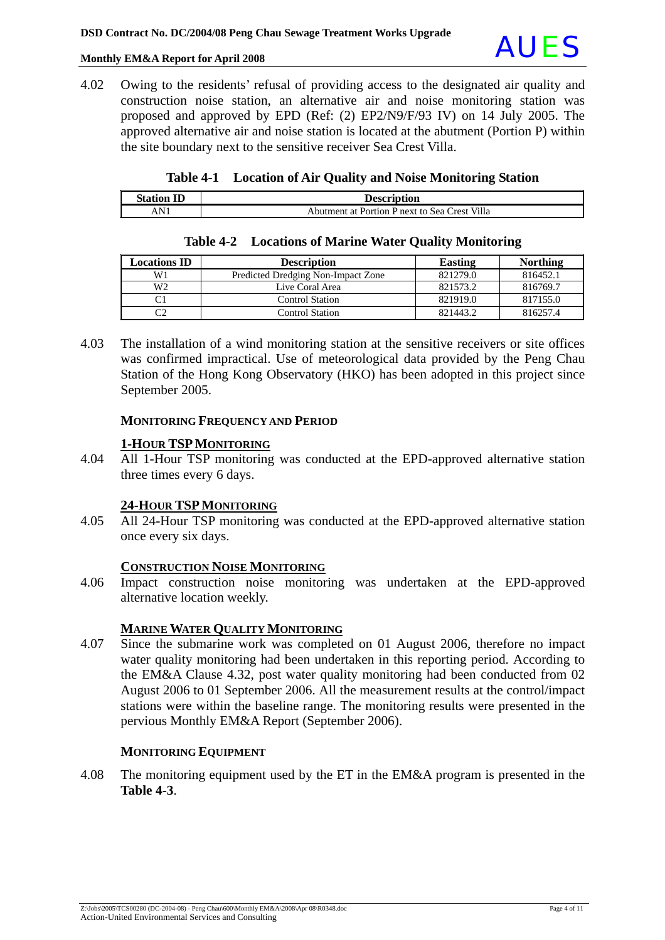4.02 Owing to the residents' refusal of providing access to the designated air quality and construction noise station, an alternative air and noise monitoring station was proposed and approved by EPD (Ref: (2) EP2/N9/F/93 IV) on 14 July 2005. The approved alternative air and noise station is located at the abutment (Portion P) within the site boundary next to the sensitive receiver Sea Crest Villa.

|  |  |  | Table 4-1 Location of Air Quality and Noise Monitoring Station |
|--|--|--|----------------------------------------------------------------|
|--|--|--|----------------------------------------------------------------|

| <b>Station ID</b> | <b>Description</b>                            |
|-------------------|-----------------------------------------------|
| AN                | Abutment at Portion P next to Sea Crest Villa |

| <b>Locations ID</b> | <b>Description</b>                 | <b>Easting</b> | <b>Northing</b> |
|---------------------|------------------------------------|----------------|-----------------|
| W1                  | Predicted Dredging Non-Impact Zone | 821279.0       | 816452.1        |
| W <sub>2</sub>      | Live Coral Area                    | 821573.2       | 816769.7        |
|                     | <b>Control Station</b>             | 821919.0       | 817155.0        |
|                     | <b>Control Station</b>             | 821443.2       | 816257.4        |

#### **Table 4-2 Locations of Marine Water Quality Monitoring**

4.03 The installation of a wind monitoring station at the sensitive receivers or site offices was confirmed impractical. Use of meteorological data provided by the Peng Chau Station of the Hong Kong Observatory (HKO) has been adopted in this project since September 2005.

#### **MONITORING FREQUENCY AND PERIOD**

#### **1-HOUR TSPMONITORING**

4.04 All 1-Hour TSP monitoring was conducted at the EPD-approved alternative station three times every 6 days.

### **24-HOUR TSPMONITORING**

4.05 All 24-Hour TSP monitoring was conducted at the EPD-approved alternative station once every six days.

#### **CONSTRUCTION NOISE MONITORING**

4.06 Impact construction noise monitoring was undertaken at the EPD-approved alternative location weekly.

### **MARINE WATER QUALITY MONITORING**

4.07 Since the submarine work was completed on 01 August 2006, therefore no impact water quality monitoring had been undertaken in this reporting period. According to the EM&A Clause 4.32, post water quality monitoring had been conducted from 02 August 2006 to 01 September 2006. All the measurement results at the control/impact stations were within the baseline range. The monitoring results were presented in the pervious Monthly EM&A Report (September 2006).

#### **MONITORING EQUIPMENT**

4.08 The monitoring equipment used by the ET in the EM&A program is presented in the **Table 4-3**.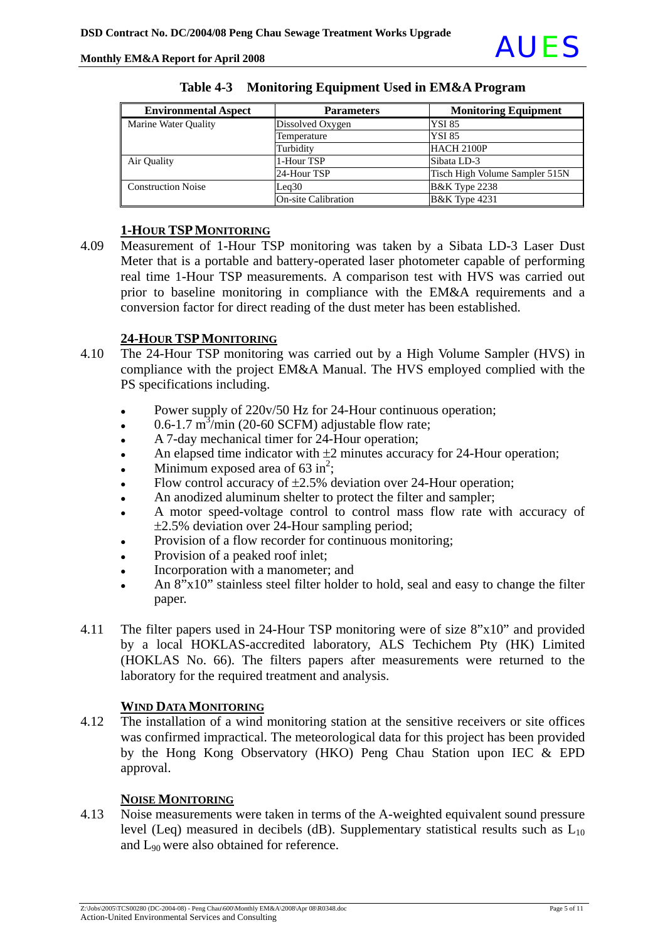

| <b>Environmental Aspect</b> | <b>Parameters</b>          | <b>Monitoring Equipment</b>    |
|-----------------------------|----------------------------|--------------------------------|
| Marine Water Quality        | Dissolved Oxygen           | <b>YSI 85</b>                  |
|                             | Temperature                | <b>YSI 85</b>                  |
|                             | Turbidity                  | <b>HACH 2100P</b>              |
| Air Quality                 | 1-Hour TSP                 | Sibata LD-3                    |
|                             | 24-Hour TSP                | Tisch High Volume Sampler 515N |
| <b>Construction Noise</b>   | Leq30                      | <b>B&amp;K</b> Type 2238       |
|                             | <b>On-site Calibration</b> | <b>B&amp;K</b> Type 4231       |

#### **Table 4-3 Monitoring Equipment Used in EM&A Program**

### **1-HOUR TSPMONITORING**

4.09 Measurement of 1-Hour TSP monitoring was taken by a Sibata LD-3 Laser Dust Meter that is a portable and battery-operated laser photometer capable of performing real time 1-Hour TSP measurements. A comparison test with HVS was carried out prior to baseline monitoring in compliance with the EM&A requirements and a conversion factor for direct reading of the dust meter has been established.

### **24-HOUR TSPMONITORING**

- 4.10 The 24-Hour TSP monitoring was carried out by a High Volume Sampler (HVS) in compliance with the project EM&A Manual. The HVS employed complied with the PS specifications including.
	- Power supply of 220v/50 Hz for 24-Hour continuous operation;
	- $\cdot$  0.6-1.7 m<sup>3</sup>/min (20-60 SCFM) adjustable flow rate;
	- A 7-day mechanical timer for 24-Hour operation;
	- An elapsed time indicator with  $\pm 2$  minutes accuracy for 24-Hour operation;
	- Minimum exposed area of  $63 \text{ in}^2$ ;
	- Flow control accuracy of  $\pm 2.5$ % deviation over 24-Hour operation;
	- An anodized aluminum shelter to protect the filter and sampler;
	- A motor speed-voltage control to control mass flow rate with accuracy of ±2.5% deviation over 24-Hour sampling period;
	- Provision of a flow recorder for continuous monitoring;
	- Provision of a peaked roof inlet;
	- Incorporation with a manometer; and
	- An  $8"x10"$  stainless steel filter holder to hold, seal and easy to change the filter paper.
- 4.11 The filter papers used in 24-Hour TSP monitoring were of size 8"x10" and provided by a local HOKLAS-accredited laboratory, ALS Techichem Pty (HK) Limited (HOKLAS No. 66). The filters papers after measurements were returned to the laboratory for the required treatment and analysis.

### **WIND DATA MONITORING**

4.12 The installation of a wind monitoring station at the sensitive receivers or site offices was confirmed impractical. The meteorological data for this project has been provided by the Hong Kong Observatory (HKO) Peng Chau Station upon IEC & EPD approval.

### **NOISE MONITORING**

4.13 Noise measurements were taken in terms of the A-weighted equivalent sound pressure level (Leq) measured in decibels (dB). Supplementary statistical results such as  $L_{10}$ and L90 were also obtained for reference.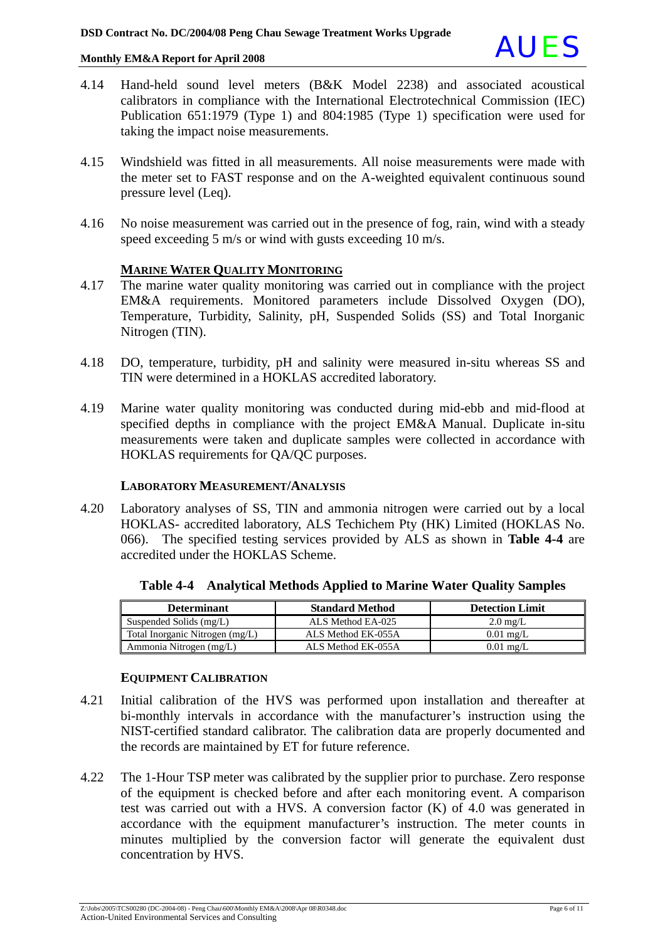

- 4.14 Hand-held sound level meters (B&K Model 2238) and associated acoustical calibrators in compliance with the International Electrotechnical Commission (IEC) Publication 651:1979 (Type 1) and 804:1985 (Type 1) specification were used for taking the impact noise measurements.
- 4.15 Windshield was fitted in all measurements. All noise measurements were made with the meter set to FAST response and on the A-weighted equivalent continuous sound pressure level (Leq).
- 4.16 No noise measurement was carried out in the presence of fog, rain, wind with a steady speed exceeding 5 m/s or wind with gusts exceeding 10 m/s.

#### **MARINE WATER QUALITY MONITORING**

- 4.17 The marine water quality monitoring was carried out in compliance with the project EM&A requirements. Monitored parameters include Dissolved Oxygen (DO), Temperature, Turbidity, Salinity, pH, Suspended Solids (SS) and Total Inorganic Nitrogen (TIN).
- 4.18 DO, temperature, turbidity, pH and salinity were measured in-situ whereas SS and TIN were determined in a HOKLAS accredited laboratory.
- 4.19 Marine water quality monitoring was conducted during mid-ebb and mid-flood at specified depths in compliance with the project EM&A Manual. Duplicate in-situ measurements were taken and duplicate samples were collected in accordance with HOKLAS requirements for QA/QC purposes.

#### **LABORATORY MEASUREMENT/ANALYSIS**

4.20 Laboratory analyses of SS, TIN and ammonia nitrogen were carried out by a local HOKLAS- accredited laboratory, ALS Techichem Pty (HK) Limited (HOKLAS No. 066). The specified testing services provided by ALS as shown in **Table 4-4** are accredited under the HOKLAS Scheme.

| <b>Determinant</b>              | <b>Standard Method</b> | <b>Detection Limit</b> |
|---------------------------------|------------------------|------------------------|
| Suspended Solids (mg/L)         | ALS Method EA-025      | $2.0 \text{ mg/L}$     |
| Total Inorganic Nitrogen (mg/L) | ALS Method EK-055A     | $0.01$ mg/L            |
| Ammonia Nitrogen (mg/L)         | ALS Method EK-055A     | $0.01$ mg/L            |

**Table 4-4 Analytical Methods Applied to Marine Water Quality Samples**

#### **EQUIPMENT CALIBRATION**

- 4.21 Initial calibration of the HVS was performed upon installation and thereafter at bi-monthly intervals in accordance with the manufacturer's instruction using the NIST-certified standard calibrator. The calibration data are properly documented and the records are maintained by ET for future reference.
- 4.22 The 1-Hour TSP meter was calibrated by the supplier prior to purchase. Zero response of the equipment is checked before and after each monitoring event. A comparison test was carried out with a HVS. A conversion factor (K) of 4.0 was generated in accordance with the equipment manufacturer's instruction. The meter counts in minutes multiplied by the conversion factor will generate the equivalent dust concentration by HVS.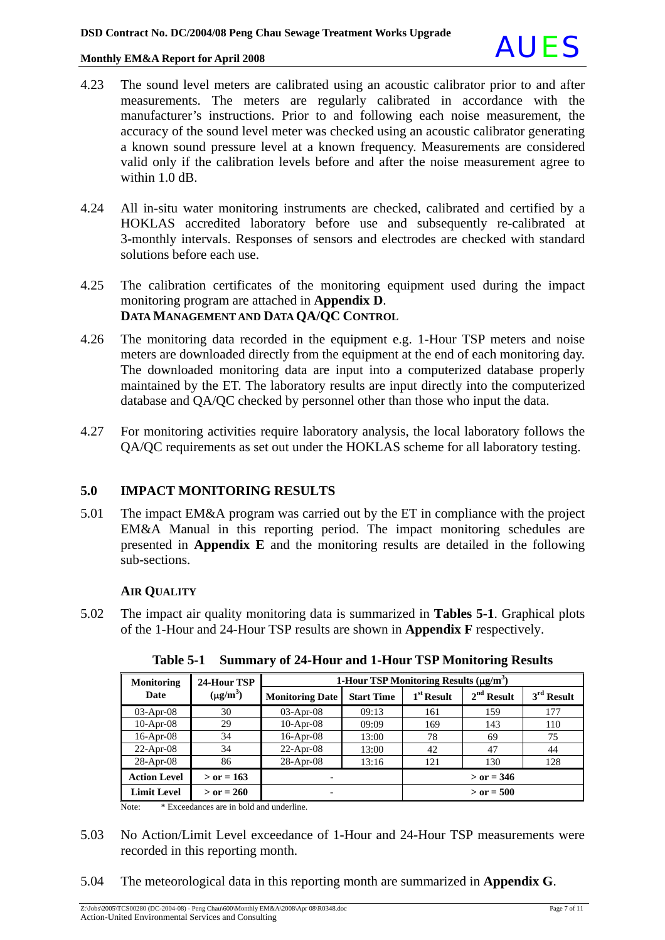

- 4.23 The sound level meters are calibrated using an acoustic calibrator prior to and after measurements. The meters are regularly calibrated in accordance with the manufacturer's instructions. Prior to and following each noise measurement, the accuracy of the sound level meter was checked using an acoustic calibrator generating a known sound pressure level at a known frequency. Measurements are considered valid only if the calibration levels before and after the noise measurement agree to within 1.0 dB.
- 4.24 All in-situ water monitoring instruments are checked, calibrated and certified by a HOKLAS accredited laboratory before use and subsequently re-calibrated at 3-monthly intervals. Responses of sensors and electrodes are checked with standard solutions before each use.
- 4.25 The calibration certificates of the monitoring equipment used during the impact monitoring program are attached in **Appendix D**. **DATA MANAGEMENT AND DATA QA/QC CONTROL**
- 4.26 The monitoring data recorded in the equipment e.g. 1-Hour TSP meters and noise meters are downloaded directly from the equipment at the end of each monitoring day. The downloaded monitoring data are input into a computerized database properly maintained by the ET. The laboratory results are input directly into the computerized database and QA/QC checked by personnel other than those who input the data.
- 4.27 For monitoring activities require laboratory analysis, the local laboratory follows the QA/QC requirements as set out under the HOKLAS scheme for all laboratory testing.

### **5.0 IMPACT MONITORING RESULTS**

5.01 The impact EM&A program was carried out by the ET in compliance with the project EM&A Manual in this reporting period. The impact monitoring schedules are presented in **Appendix E** and the monitoring results are detailed in the following sub-sections.

#### **AIR QUALITY**

5.02 The impact air quality monitoring data is summarized in **Tables 5-1**. Graphical plots of the 1-Hour and 24-Hour TSP results are shown in **Appendix F** respectively.

| <b>Monitoring</b>   | 24-Hour TSP   |                        | 1-Hour TSP Monitoring Results $(\mu g/m^3)$ |              |              |              |
|---------------------|---------------|------------------------|---------------------------------------------|--------------|--------------|--------------|
| Date                | $(\mu g/m^3)$ | <b>Monitoring Date</b> | <b>Start Time</b>                           | $1st$ Result | $2nd$ Result | $3rd$ Result |
| $03$ -Apr- $08$     | 30            | $03$ -Apr-08           | 09:13                                       | 161          | 159          | 177          |
| $10$ -Apr-08        | 29            | $10$ -Apr-08           | 09:09                                       | 169          | 143          | 110          |
| $16$ -Apr-08        | 34            | $16$ -Apr-08           | 13:00                                       | 78           | 69           | 75           |
| $22$ -Apr-08        | 34            | $22$ -Apr-08           | 13:00                                       | 42           | 47           | 44           |
| $28$ -Apr-08        | 86            | $28$ -Apr-08           | 13:16                                       | 121          | 130          | 128          |
| <b>Action Level</b> | $>$ or = 163  |                        |                                             |              | $>$ or = 346 |              |
| <b>Limit Level</b>  | $>$ or = 260  |                        |                                             |              | $>$ or = 500 |              |

**Table 5-1 Summary of 24-Hour and 1-Hour TSP Monitoring Results** 

Note: \* Exceedances are in bold and underline.

- 5.03 No Action/Limit Level exceedance of 1-Hour and 24-Hour TSP measurements were recorded in this reporting month.
- 5.04 The meteorological data in this reporting month are summarized in **Appendix G**.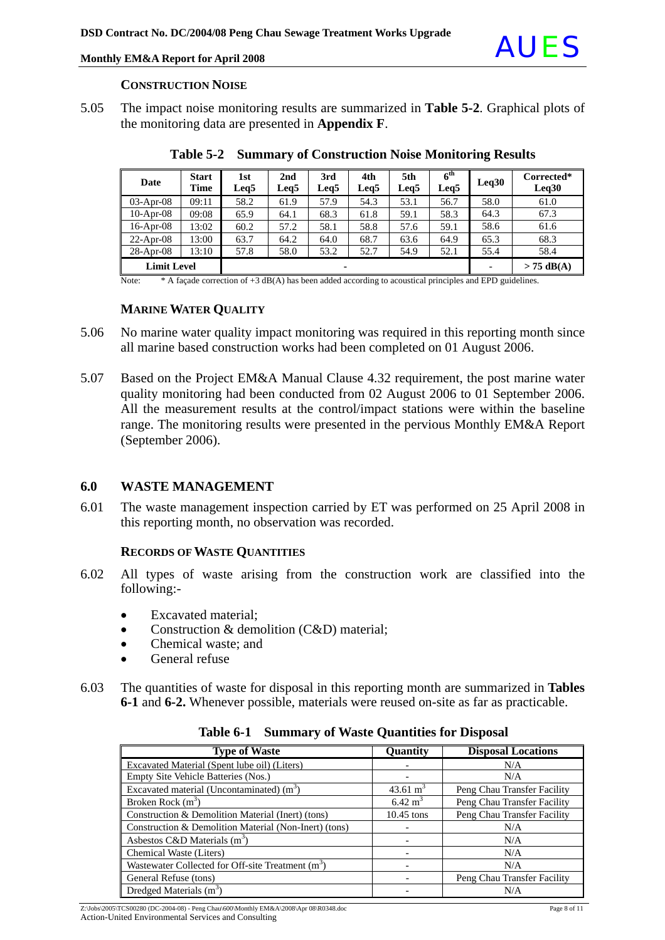

#### **CONSTRUCTION NOISE**

5.05 The impact noise monitoring results are summarized in **Table 5-2**. Graphical plots of the monitoring data are presented in **Appendix F**.

| Date               | <b>Start</b><br>Time | 1st<br>Leg5 | 2nd<br>Leg5 | 3rd<br>Leq5 | 4th<br>Leg5 | 5th<br>Leg5 | 6 <sup>th</sup><br>Leq5 | Leq30 | Corrected*<br>Leq30 |
|--------------------|----------------------|-------------|-------------|-------------|-------------|-------------|-------------------------|-------|---------------------|
| $03-Apr-08$        | 09:11                | 58.2        | 61.9        | 57.9        | 54.3        | 53.1        | 56.7                    | 58.0  | 61.0                |
| $10$ -Apr-08       | 09:08                | 65.9        | 64.1        | 68.3        | 61.8        | 59.1        | 58.3                    | 64.3  | 67.3                |
| $16$ -Apr-08       | 13:02                | 60.2        | 57.2        | 58.1        | 58.8        | 57.6        | 59.1                    | 58.6  | 61.6                |
| $22$ -Apr-08       | 13:00                | 63.7        | 64.2        | 64.0        | 68.7        | 63.6        | 64.9                    | 65.3  | 68.3                |
| $28-Apr-08$        | 13:10                | 57.8        | 58.0        | 53.2        | 52.7        | 54.9        | 52.1                    | 55.4  | 58.4                |
| <b>Limit Level</b> |                      |             |             | ۰           |             |             |                         |       | $> 75$ dB(A)        |

**Table 5-2 Summary of Construction Noise Monitoring Results** 

Note: \* A façade correction of +3 dB(A) has been added according to acoustical principles and EPD guidelines.

#### **MARINE WATER QUALITY**

- 5.06 No marine water quality impact monitoring was required in this reporting month since all marine based construction works had been completed on 01 August 2006.
- 5.07 Based on the Project EM&A Manual Clause 4.32 requirement, the post marine water quality monitoring had been conducted from 02 August 2006 to 01 September 2006. All the measurement results at the control/impact stations were within the baseline range. The monitoring results were presented in the pervious Monthly EM&A Report (September 2006).

#### **6.0 WASTE MANAGEMENT**

6.01 The waste management inspection carried by ET was performed on 25 April 2008 in this reporting month, no observation was recorded.

#### **RECORDS OF WASTE QUANTITIES**

- 6.02 All types of waste arising from the construction work are classified into the following:-
	- Excavated material;
	- Construction & demolition (C&D) material;
	- Chemical waste: and
	- General refuse
- 6.03 The quantities of waste for disposal in this reporting month are summarized in **Tables 6-1** and **6-2.** Whenever possible, materials were reused on-site as far as practicable.

| <b>Type of Waste</b>                                  | Quantity             | <b>Disposal Locations</b>   |
|-------------------------------------------------------|----------------------|-----------------------------|
| Excavated Material (Spent lube oil) (Liters)          |                      | N/A                         |
| Empty Site Vehicle Batteries (Nos.)                   |                      | N/A                         |
| Excavated material (Uncontaminated) $(m3)$            | 43.61 $\mathrm{m}^3$ | Peng Chau Transfer Facility |
| Broken Rock $(m3)$                                    | $6.42 \text{ m}^3$   | Peng Chau Transfer Facility |
| Construction & Demolition Material (Inert) (tons)     | $10.45$ tons         | Peng Chau Transfer Facility |
| Construction & Demolition Material (Non-Inert) (tons) |                      | N/A                         |
| Asbestos C&D Materials $(m3)$                         |                      | N/A                         |
| Chemical Waste (Liters)                               |                      | N/A                         |
| Wastewater Collected for Off-site Treatment $(m^3)$   |                      | N/A                         |
| General Refuse (tons)                                 |                      | Peng Chau Transfer Facility |
| Dredged Materials $(m3)$                              |                      | N/A                         |

**Table 6-1 Summary of Waste Quantities for Disposal**

Z:\Jobs\2005\TCS00280 (DC-2004-08) - Peng Chau\600\Monthly EM&A\2008\Apr 08\R0348.doc Page 8 of 11 Action-United Environmental Services and Consulting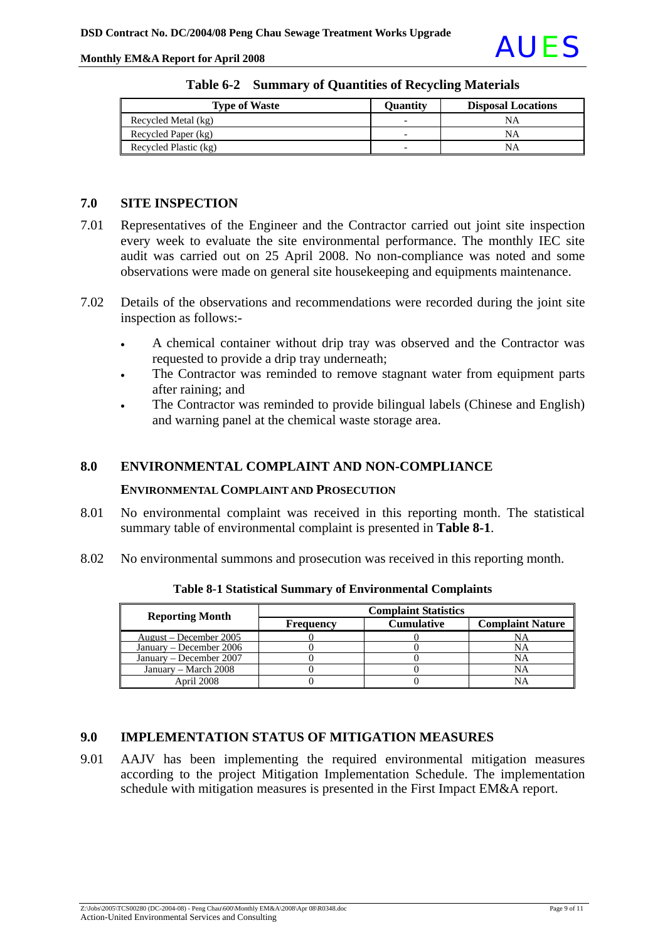

| <b>Type of Waste</b>  | <b>Ouantity</b>          | <b>Disposal Locations</b> |
|-----------------------|--------------------------|---------------------------|
| Recycled Metal (kg)   | $\overline{\phantom{0}}$ | NΑ                        |
| Recycled Paper (kg)   | -                        | NΑ                        |
| Recycled Plastic (kg) | -                        | NΑ                        |

| Table 6-2 Summary of Quantities of Recycling Materials |  |  |  |  |  |
|--------------------------------------------------------|--|--|--|--|--|
|--------------------------------------------------------|--|--|--|--|--|

### **7.0 SITE INSPECTION**

- 7.01 Representatives of the Engineer and the Contractor carried out joint site inspection every week to evaluate the site environmental performance. The monthly IEC site audit was carried out on 25 April 2008. No non-compliance was noted and some observations were made on general site housekeeping and equipments maintenance.
- 7.02 Details of the observations and recommendations were recorded during the joint site inspection as follows:-
	- A chemical container without drip tray was observed and the Contractor was requested to provide a drip tray underneath;
	- The Contractor was reminded to remove stagnant water from equipment parts after raining; and
	- The Contractor was reminded to provide bilingual labels (Chinese and English) and warning panel at the chemical waste storage area.

### **8.0 ENVIRONMENTAL COMPLAINT AND NON-COMPLIANCE**

#### **ENVIRONMENTAL COMPLAINT AND PROSECUTION**

- 8.01 No environmental complaint was received in this reporting month. The statistical summary table of environmental complaint is presented in **Table 8-1**.
- 8.02 No environmental summons and prosecution was received in this reporting month.

| <b>Reporting Month</b>  | <b>Complaint Statistics</b> |                   |                         |  |  |
|-------------------------|-----------------------------|-------------------|-------------------------|--|--|
|                         | Frequency                   | <b>Cumulative</b> | <b>Complaint Nature</b> |  |  |
| August – December 2005  |                             |                   | NA                      |  |  |
| January – December 2006 |                             |                   | NA                      |  |  |
| January – December 2007 |                             |                   | NA                      |  |  |
| January – March 2008    |                             |                   | NA                      |  |  |
| April 2008              |                             |                   |                         |  |  |

**Table 8-1 Statistical Summary of Environmental Complaints** 

### **9.0 IMPLEMENTATION STATUS OF MITIGATION MEASURES**

9.01 AAJV has been implementing the required environmental mitigation measures according to the project Mitigation Implementation Schedule. The implementation schedule with mitigation measures is presented in the First Impact EM&A report.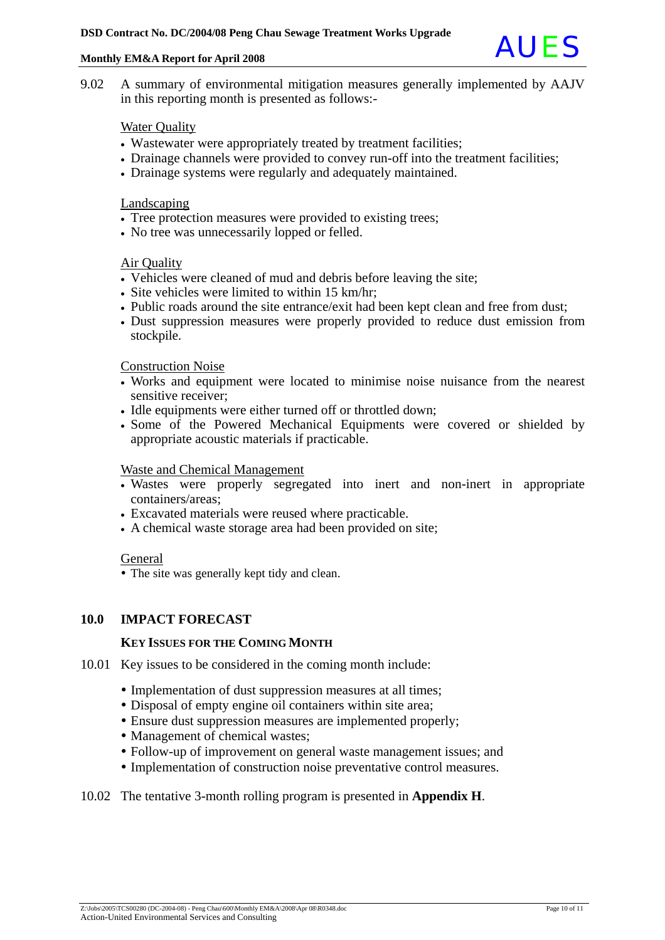

9.02 A summary of environmental mitigation measures generally implemented by AAJV in this reporting month is presented as follows:-

#### **Water Quality**

- Wastewater were appropriately treated by treatment facilities;
- Drainage channels were provided to convey run-off into the treatment facilities;
- Drainage systems were regularly and adequately maintained.

#### Landscaping

- Tree protection measures were provided to existing trees;
- No tree was unnecessarily lopped or felled.

#### Air Quality

- Vehicles were cleaned of mud and debris before leaving the site;
- Site vehicles were limited to within 15 km/hr;
- Public roads around the site entrance/exit had been kept clean and free from dust;
- Dust suppression measures were properly provided to reduce dust emission from stockpile.

#### Construction Noise

- Works and equipment were located to minimise noise nuisance from the nearest sensitive receiver;
- Idle equipments were either turned off or throttled down;
- Some of the Powered Mechanical Equipments were covered or shielded by appropriate acoustic materials if practicable.

#### Waste and Chemical Management

- Wastes were properly segregated into inert and non-inert in appropriate containers/areas;
- Excavated materials were reused where practicable.
- A chemical waste storage area had been provided on site;

#### General

• The site was generally kept tidy and clean.

#### **10.0 IMPACT FORECAST**

#### **KEY ISSUES FOR THE COMING MONTH**

- 10.01 Key issues to be considered in the coming month include:
	- Implementation of dust suppression measures at all times;
	- Disposal of empty engine oil containers within site area;
	- Ensure dust suppression measures are implemented properly;
	- Management of chemical wastes;
	- Follow-up of improvement on general waste management issues; and
	- Implementation of construction noise preventative control measures.

#### 10.02 The tentative 3-month rolling program is presented in **Appendix H**.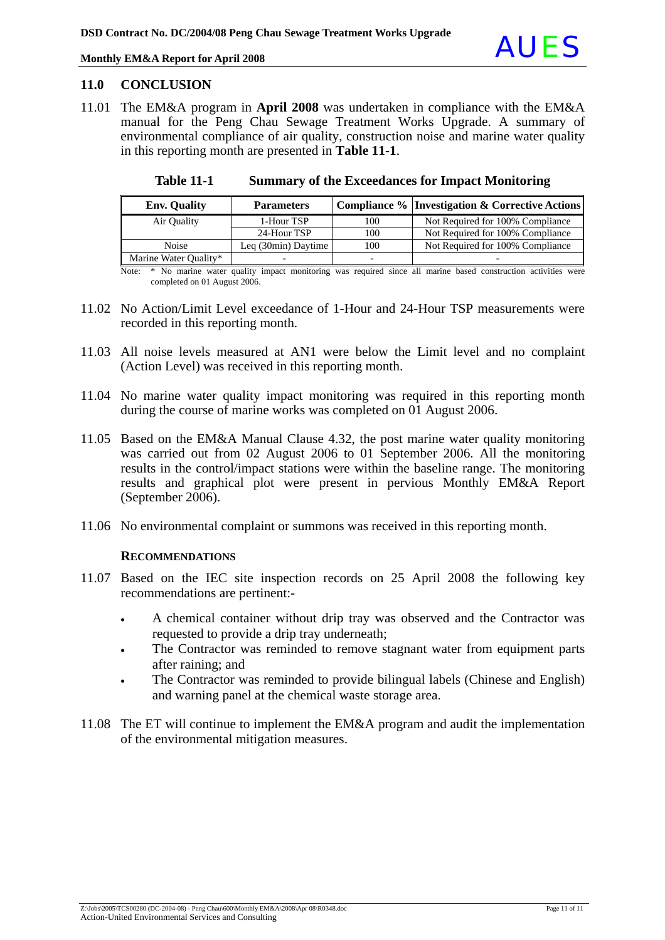

#### **11.0 CONCLUSION**

11.01 The EM&A program in **April 2008** was undertaken in compliance with the EM&A manual for the Peng Chau Sewage Treatment Works Upgrade. A summary of environmental compliance of air quality, construction noise and marine water quality in this reporting month are presented in **Table 11-1**.

| <b>Env.</b> Quality   | <b>Parameters</b>   |     | Compliance %   Investigation & Corrective Actions |
|-----------------------|---------------------|-----|---------------------------------------------------|
| Air Quality           | 1-Hour TSP          | 100 | Not Required for 100% Compliance                  |
|                       | 24-Hour TSP         | 100 | Not Required for 100% Compliance                  |
| <b>Noise</b>          | Leq (30min) Daytime | 100 | Not Required for 100% Compliance                  |
| Marine Water Quality* |                     |     |                                                   |

**Table 11-1 Summary of the Exceedances for Impact Monitoring**

Note: \* No marine water quality impact monitoring was required since all marine based construction activities were completed on 01 August 2006.

- 11.02 No Action/Limit Level exceedance of 1-Hour and 24-Hour TSP measurements were recorded in this reporting month.
- 11.03 All noise levels measured at AN1 were below the Limit level and no complaint (Action Level) was received in this reporting month.
- 11.04 No marine water quality impact monitoring was required in this reporting month during the course of marine works was completed on 01 August 2006.
- 11.05 Based on the EM&A Manual Clause 4.32, the post marine water quality monitoring was carried out from 02 August 2006 to 01 September 2006. All the monitoring results in the control/impact stations were within the baseline range. The monitoring results and graphical plot were present in pervious Monthly EM&A Report (September 2006).
- 11.06 No environmental complaint or summons was received in this reporting month.

#### **RECOMMENDATIONS**

- 11.07 Based on the IEC site inspection records on 25 April 2008 the following key recommendations are pertinent:-
	- A chemical container without drip tray was observed and the Contractor was requested to provide a drip tray underneath;
	- The Contractor was reminded to remove stagnant water from equipment parts after raining; and
	- The Contractor was reminded to provide bilingual labels (Chinese and English) and warning panel at the chemical waste storage area.
- 11.08 The ET will continue to implement the EM&A program and audit the implementation of the environmental mitigation measures.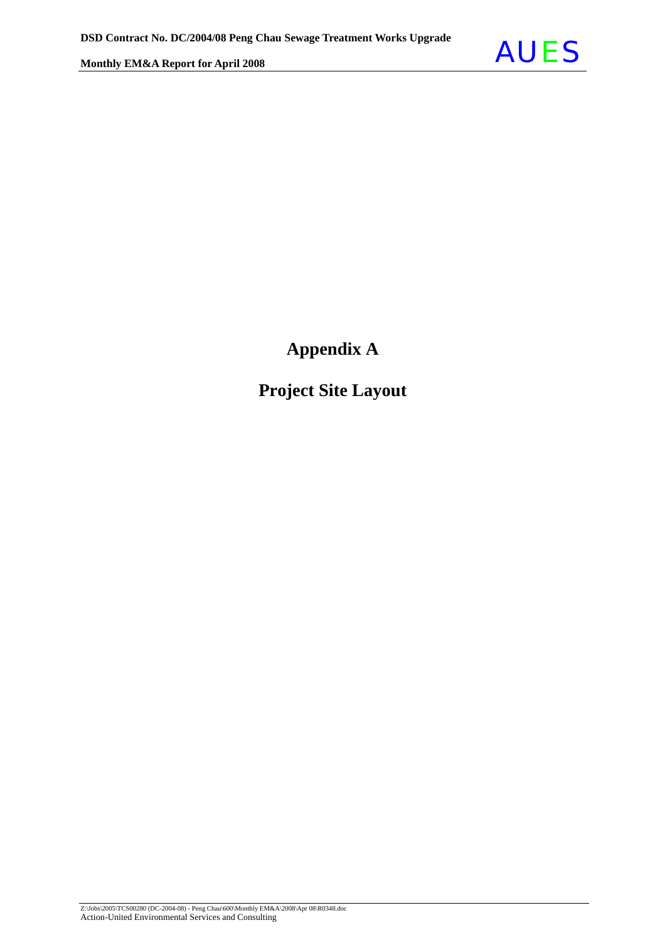

## **Appendix A**

## **Project Site Layout**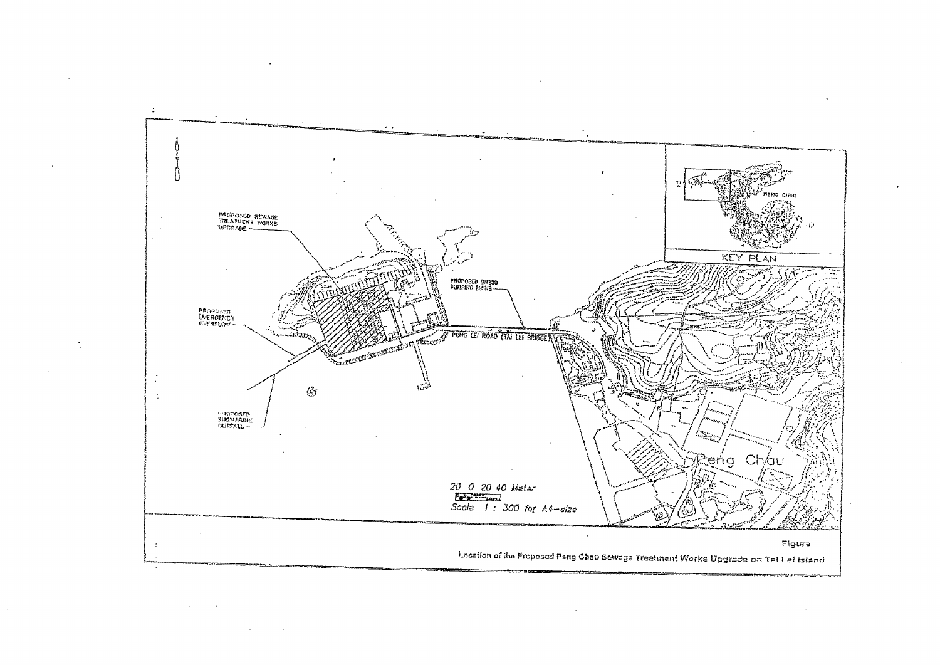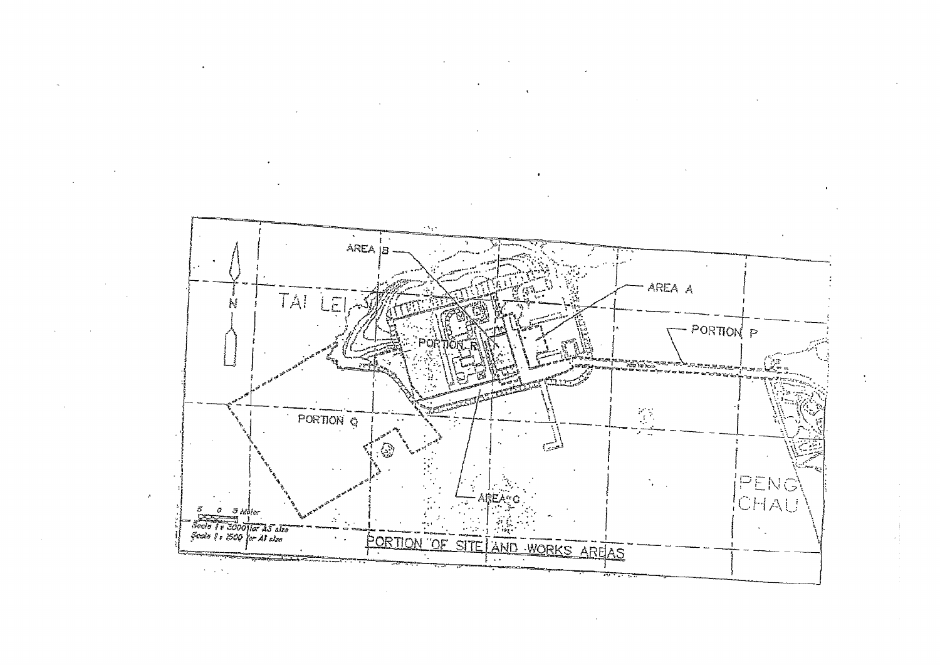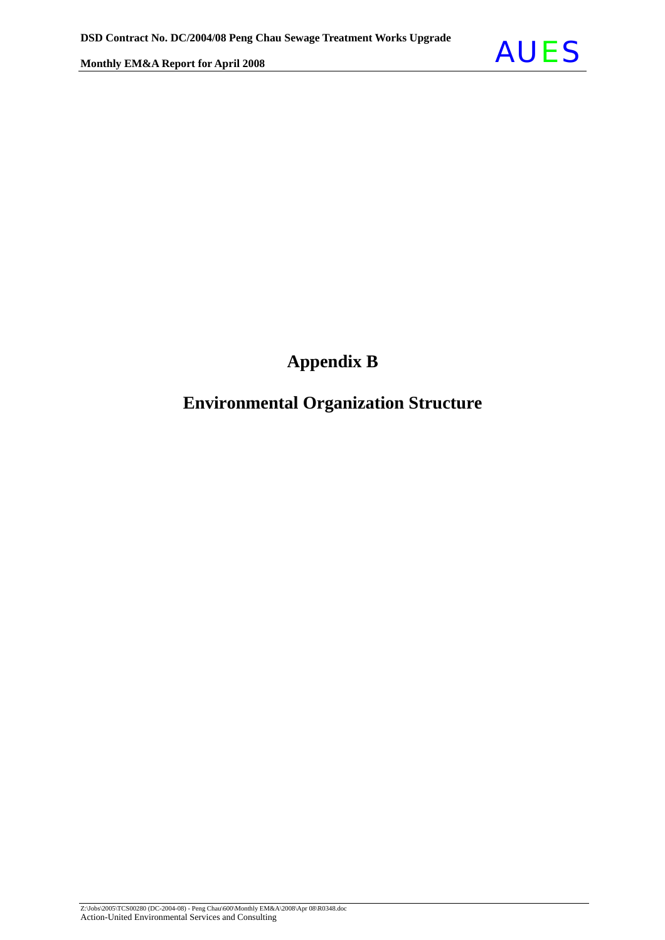

## **Appendix B**

### **Environmental Organization Structure**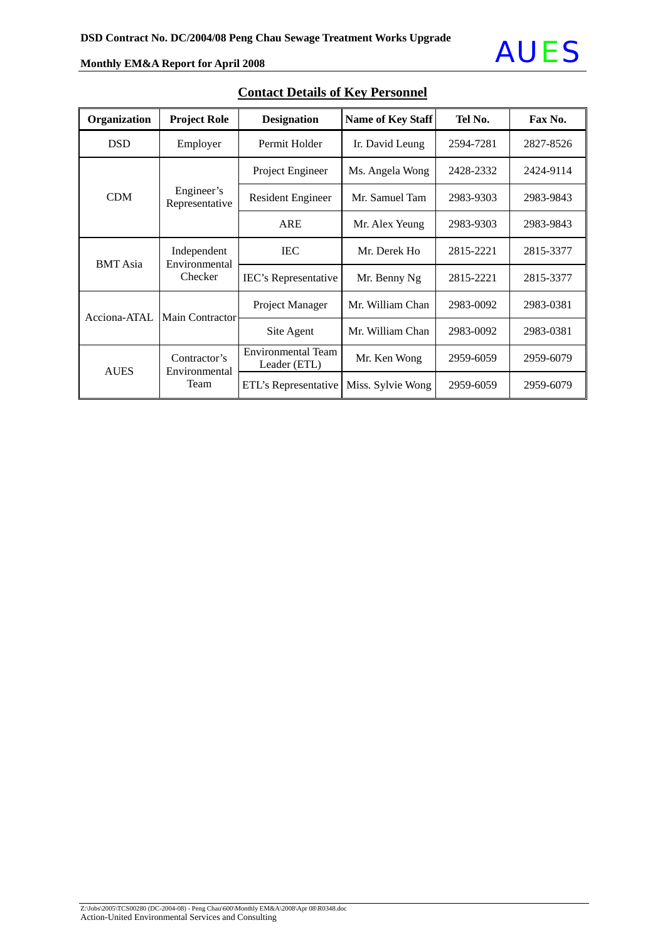#### **Organization Project Role Designation Name of Key Staff Tel No. | Fax No.** DSD Employer Permit Holder II. David Leung 2594-7281 2827-8526 Project Engineer | Ms. Angela Wong |  $2428-2332$  |  $2424-9114$ CDM Engineer's Resident Engineer Mr. Samuel Tam 2983-9303 2983-9843 Representative ARE Mr. Alex Yeung | 2983-9303 | 2983-9843 IEC Mr. Derek Ho 2815-2221 2815-3377 BMT Asia Independent Environmental IEC's Representative Mr. Benny Ng  $\begin{array}{|c|c|c|c|c|c|} \hline 2815-2221 & 2815-3377 \hline \end{array}$ Project Manager | Mr. William Chan | 2983-0092 | 2983-0381 Acciona-ATAL Main Contractor Site Agent | Mr. William Chan | 2983-0092 | 2983-0381 Environmental Team Vironmental Team<br>Leader (ETL) Mr. Ken Wong 2959-6059 2959-6079 AUES Contractor's Environmental Team ETL's Representative Miss. Sylvie Wong 2959-6059 2959-6079

### **Contact Details of Key Personnel**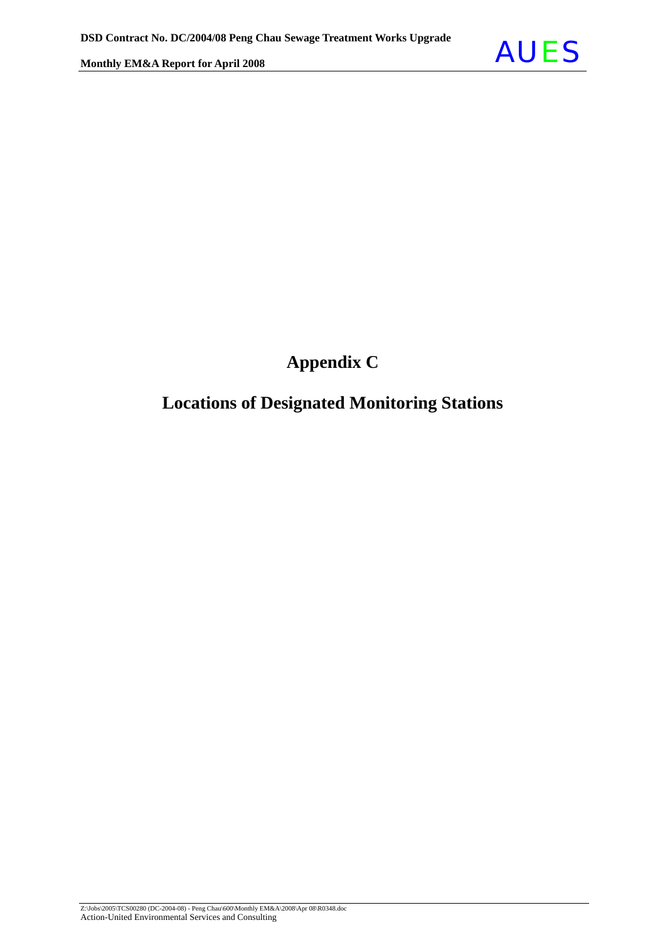

## **Appendix C**

### **Locations of Designated Monitoring Stations**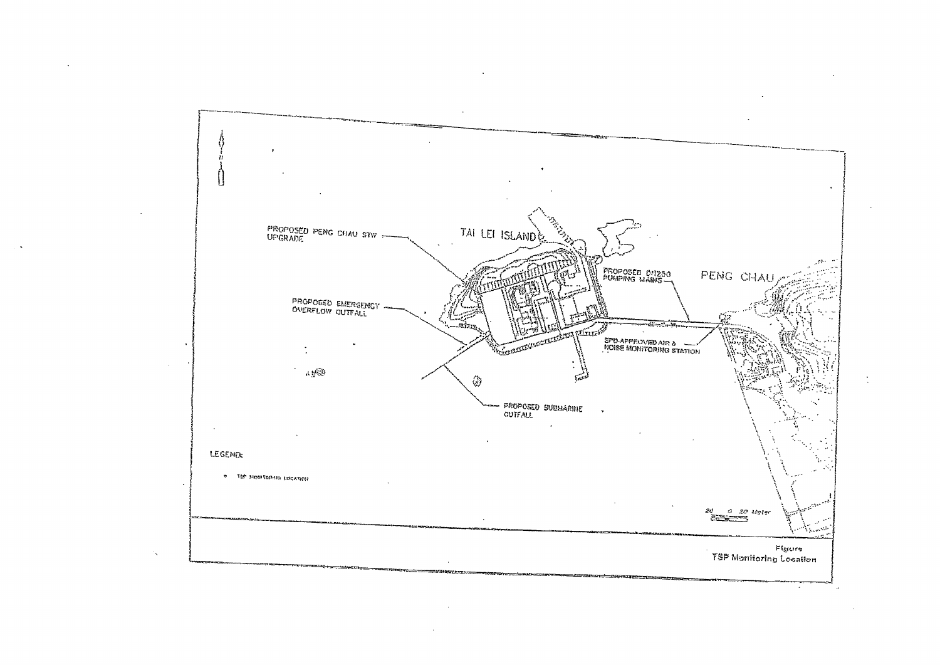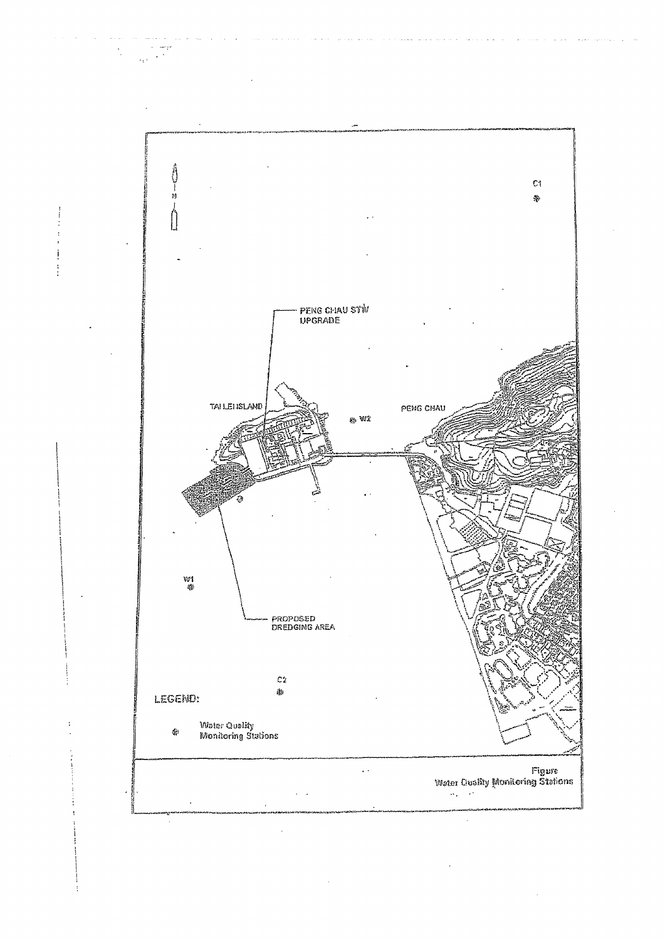

 $\sim$ i<br>San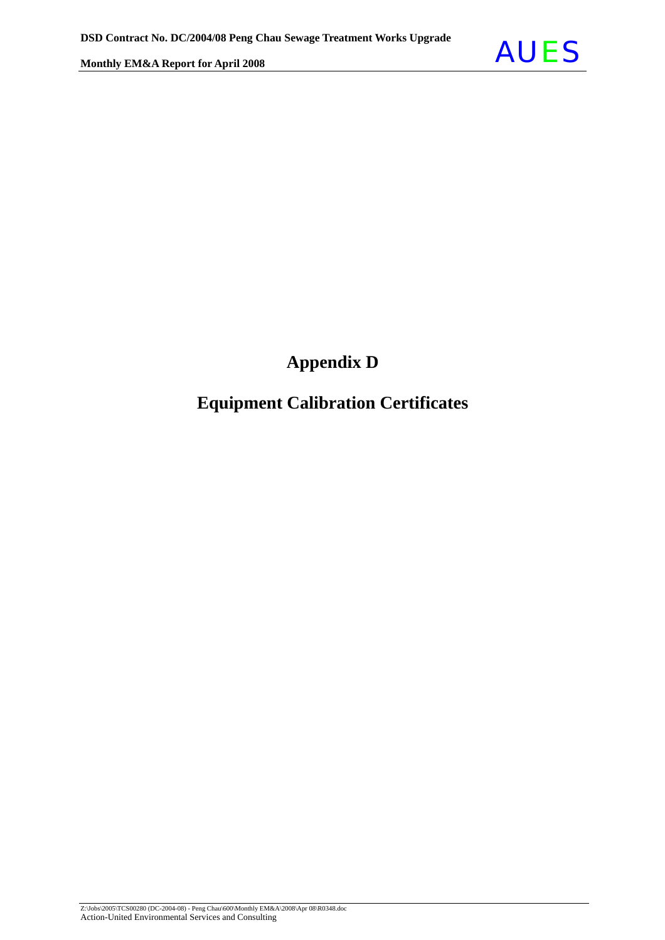## **Appendix D**

### **Equipment Calibration Certificates**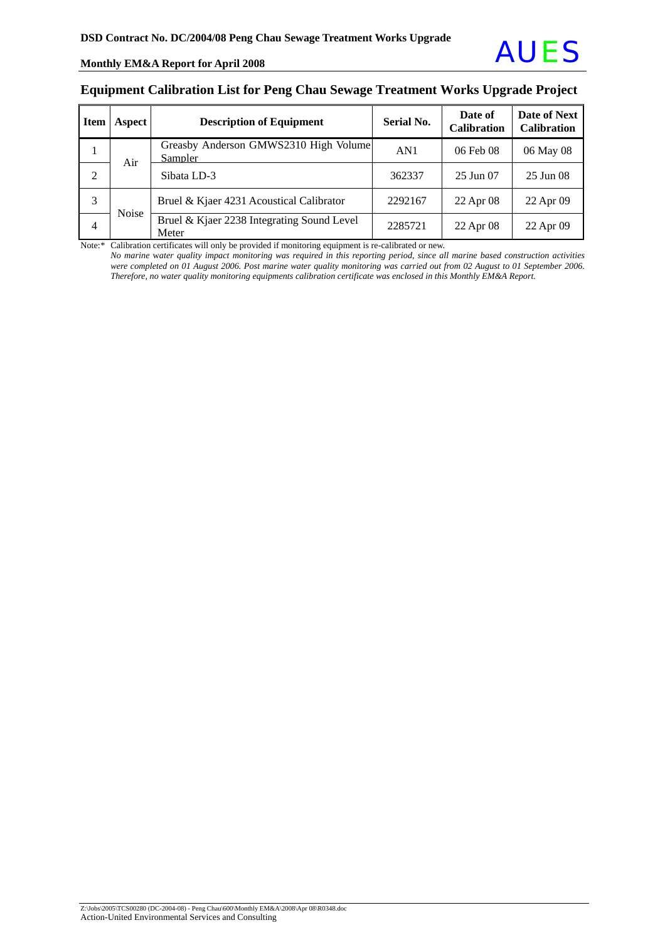#### **Equipment Calibration List for Peng Chau Sewage Treatment Works Upgrade Project**

| <b>Item</b> | Aspect       | <b>Description of Equipment</b>                     | <b>Serial No.</b> | Date of<br><b>Calibration</b> | Date of Next<br><b>Calibration</b> |
|-------------|--------------|-----------------------------------------------------|-------------------|-------------------------------|------------------------------------|
|             | Air          | Greasby Anderson GMWS2310 High Volume<br>Sampler    | AN1               | 06 Feb 08                     | 06 May 08                          |
| 2           |              | Sibata LD-3                                         | 362337            | $25 \text{ Jun } 07$          | 25 Jun 08                          |
| 3           | <b>Noise</b> | Bruel & Kjaer 4231 Acoustical Calibrator            | 2292167           | 22 Apr 08                     | 22 Apr 09                          |
| 4           |              | Bruel & Kjaer 2238 Integrating Sound Level<br>Meter | 2285721           | 22 Apr 08                     | 22 Apr 09                          |

Note:\* Calibration certificates will only be provided if monitoring equipment is re-calibrated or new.

*No marine* w*ater quality impact monitoring was required in this reporting period, since all marine based construction activities were completed on 01 August 2006. Post marine water quality monitoring was carried out from 02 August to 01 September 2006. Therefore, no water quality monitoring equipments calibration certificate was enclosed in this Monthly EM&A Report.*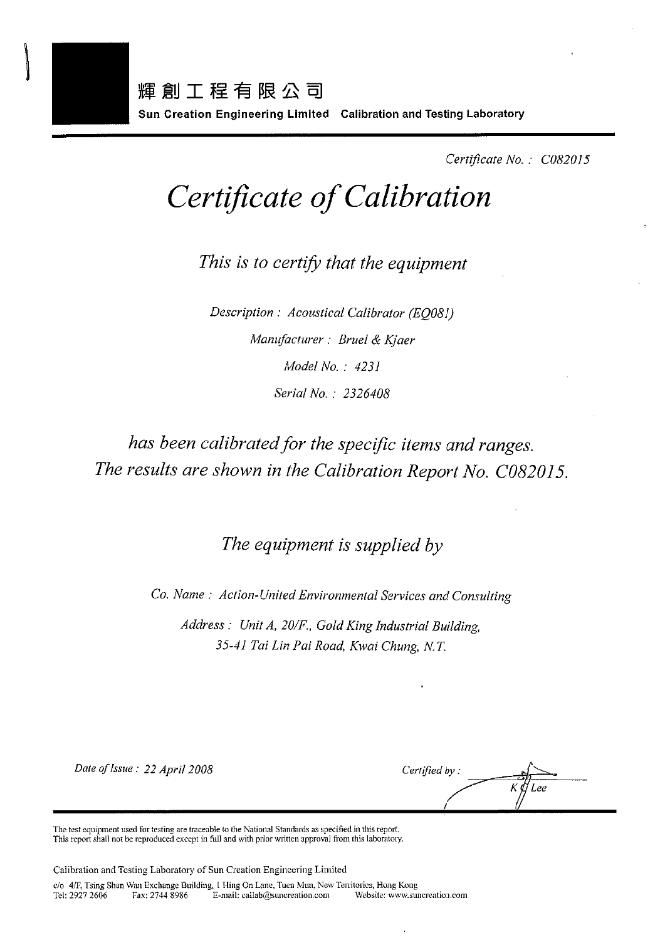

Certificate No.: C082015

# Certificate of Calibration

This is to certify that the equipment

Description : Acoustical Calibrator (EO081) Manufacturer: Bruel & Kjaer Model No.: 4231 Serial No.: 2326408

## has been calibrated for the specific items and ranges. The results are shown in the Calibration Report No. C082015.

The equipment is supplied by

Co. Name: Action-United Environmental Services and Consulting

Address: Unit A, 20/F., Gold King Industrial Building, 35-41 Tai Lin Pai Road, Kwai Chung, N.T.

Date of Issue: 22 April 2008

Certified by:

The test equipment used for testing are traceable to the National Standards as specified in this report. This report shall not be reproduced except in full and with prior written approval from this laboratory.

Calibration and Testing Laboratory of Sun Creation Engineering Limited

c/o 4/F, Tsing Shan Wan Exchange Building, 1 Hing On Lane, Tuen Mun, New Territories, Hong Kong Tel: 2927 2606 Fax: 2744 8986 E-mail: callab@suncreation.com Website: www.suncreation.com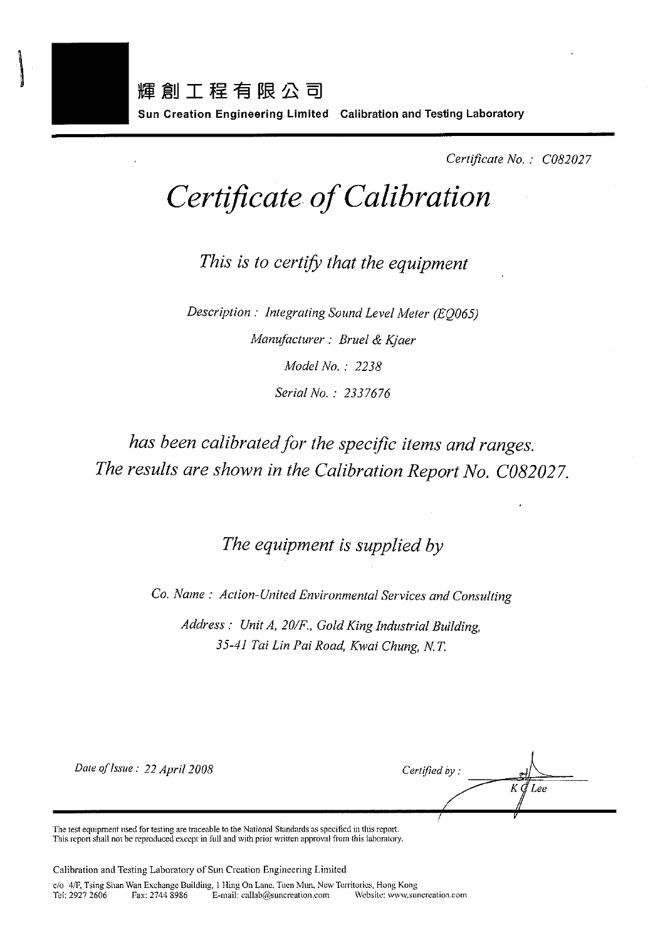

Certificate No.: C082027

# Certificate of Calibration

This is to certify that the equipment

Description: Integrating Sound Level Meter (EO065) Manufacturer: Bruel & Kjaer Model No.: 2238 Serial No.: 2337676

## has been calibrated for the specific items and ranges. The results are shown in the Calibration Report No. C082027.

The equipment is supplied by

Co. Name: Action-United Environmental Services and Consulting

Address: Unit A, 20/F., Gold King Industrial Building, 35-41 Tai Lin Pai Road, Kwai Chung, N.T.

Date of Issue: 22 April 2008

Certified by: ΚØ Lee

The test equipment used for testing are traceable to the National Standards as specified in this report. This report shall not be reproduced except in full and with prior written approval from this laboratory.

Calibration and Testing Laboratory of Sun Creation Engineering Limited

c/o 4/F, Tsing Shan Wan Exchange Building, 1 Hing On Lane, Tuen Mun, New Territories, Hong Kong Tel: 2927 2606 Fax: 2744 8986 E-mail: callab@suncreation.com Website: www.suncreation.com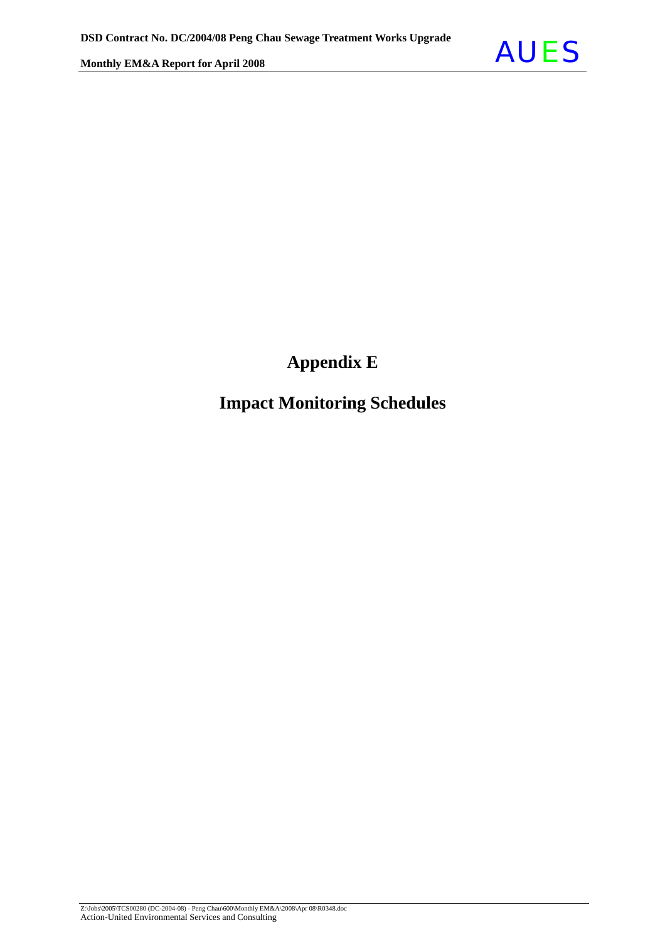## **Appendix E**

### **Impact Monitoring Schedules**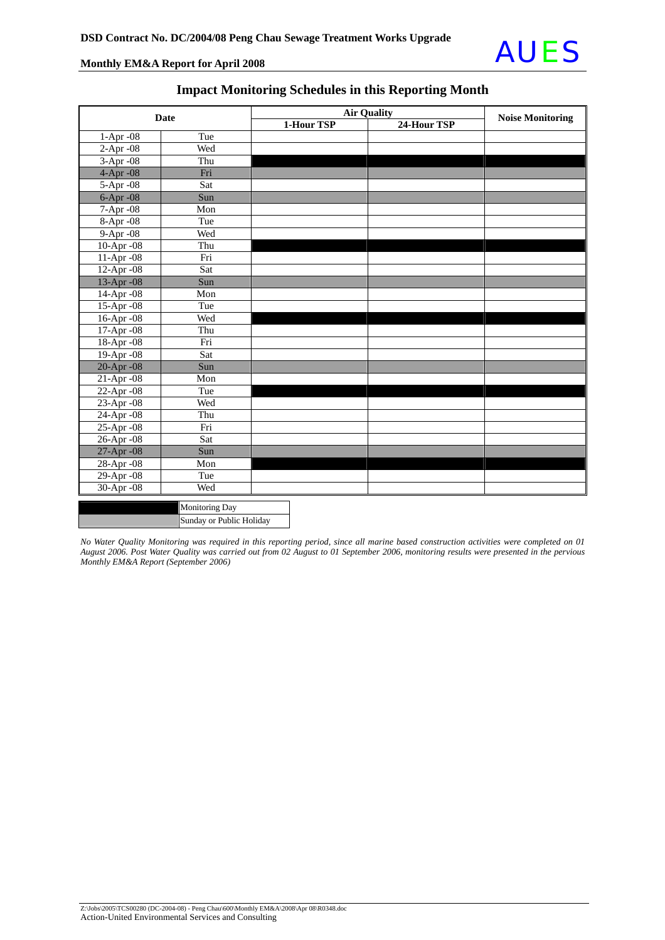

|                 | <b>Date</b>              |            | <b>Air Quality</b> | <b>Noise Monitoring</b> |
|-----------------|--------------------------|------------|--------------------|-------------------------|
|                 |                          | 1-Hour TSP | 24-Hour TSP        |                         |
| 1-Apr -08       | Tue                      |            |                    |                         |
| 2-Apr -08       | Wed                      |            |                    |                         |
| $3-Apr-08$      | Thu                      |            |                    |                         |
| 4-Apr -08       | Fri                      |            |                    |                         |
| 5-Apr -08       | Sat                      |            |                    |                         |
| $6$ -Apr $-08$  | Sun                      |            |                    |                         |
| 7-Apr - 08      | Mon                      |            |                    |                         |
| 8-Apr -08       | Tue                      |            |                    |                         |
| 9-Apr -08       | Wed                      |            |                    |                         |
| 10-Apr -08      | Thu                      |            |                    |                         |
| 11-Apr -08      | Fri                      |            |                    |                         |
| 12-Apr -08      | Sat                      |            |                    |                         |
| 13-Apr -08      | Sun                      |            |                    |                         |
| 14-Apr -08      | Mon                      |            |                    |                         |
| 15-Apr -08      | Tue                      |            |                    |                         |
| 16-Apr -08      | Wed                      |            |                    |                         |
| 17-Apr - 08     | Thu                      |            |                    |                         |
| 18-Apr -08      | Fri                      |            |                    |                         |
| 19-Apr -08      | Sat                      |            |                    |                         |
| $20-Apr-08$     | Sun                      |            |                    |                         |
| $21-Apr -08$    | Mon                      |            |                    |                         |
| 22-Apr -08      | Tue                      |            |                    |                         |
| 23-Apr -08      | Wed                      |            |                    |                         |
| $24$ -Apr $-08$ | Thu                      |            |                    |                         |
| 25-Apr -08      | Fri                      |            |                    |                         |
| $26$ -Apr $-08$ | Sat                      |            |                    |                         |
| 27-Apr -08      | Sun                      |            |                    |                         |
| 28-Apr -08      | Mon                      |            |                    |                         |
| $29$ -Apr $-08$ | Tue                      |            |                    |                         |
| 30-Apr -08      | Wed                      |            |                    |                         |
|                 | <b>Monitoring Day</b>    |            |                    |                         |
|                 | Sunday or Public Holiday |            |                    |                         |

### **Impact Monitoring Schedules in this Reporting Month**

*No Water Quality Monitoring was required in this reporting period, since all marine based construction activities were completed on 01 August 2006. Post Water Quality was carried out from 02 August to 01 September 2006, monitoring results were presented in the pervious Monthly EM&A Report (September 2006)*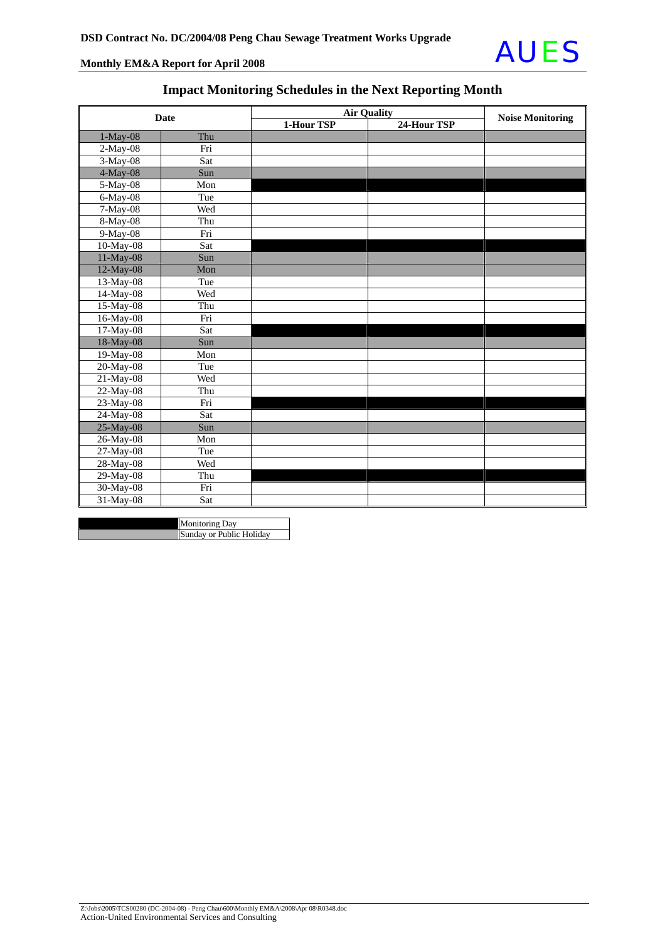

### **Impact Monitoring Schedules in the Next Reporting Month**

|                           | Date |            | <b>Air Quality</b> | <b>Noise Monitoring</b> |
|---------------------------|------|------------|--------------------|-------------------------|
|                           |      | 1-Hour TSP | 24-Hour TSP        |                         |
| 1-May-08                  | Thu  |            |                    |                         |
| $2-May-08$                | Fri  |            |                    |                         |
| 3-May-08                  | Sat  |            |                    |                         |
| 4-May-08                  | Sun  |            |                    |                         |
| 5-May-08                  | Mon  |            |                    |                         |
| $6$ -May- $\overline{08}$ | Tue  |            |                    |                         |
| 7-May-08                  | Wed  |            |                    |                         |
| 8-May-08                  | Thu  |            |                    |                         |
| 9-May-08                  | Fri  |            |                    |                         |
| 10-May-08                 | Sat  |            |                    |                         |
| 11-May-08                 | Sun  |            |                    |                         |
| 12-May-08                 | Mon  |            |                    |                         |
| 13-May-08                 | Tue  |            |                    |                         |
| 14-May-08                 | Wed  |            |                    |                         |
| 15-May-08                 | Thu  |            |                    |                         |
| 16-May-08                 | Fri  |            |                    |                         |
| 17-May-08                 | Sat  |            |                    |                         |
| 18-May-08                 | Sun  |            |                    |                         |
| 19-May-08                 | Mon  |            |                    |                         |
| 20-May-08                 | Tue  |            |                    |                         |
| 21-May-08                 | Wed  |            |                    |                         |
| 22-May-08                 | Thu  |            |                    |                         |
| 23-May-08                 | Fri  |            |                    |                         |
| 24-May-08                 | Sat  |            |                    |                         |
| 25-May-08                 | Sun  |            |                    |                         |
| 26-May-08                 | Mon  |            |                    |                         |
| 27-May-08                 | Tue  |            |                    |                         |
| 28-May-08                 | Wed  |            |                    |                         |
| 29-May-08                 | Thu  |            |                    |                         |
| 30-May-08                 | Fri  |            |                    |                         |
| 31-May-08                 | Sat  |            |                    |                         |

Monitoring Day **Sunday or Public Holiday**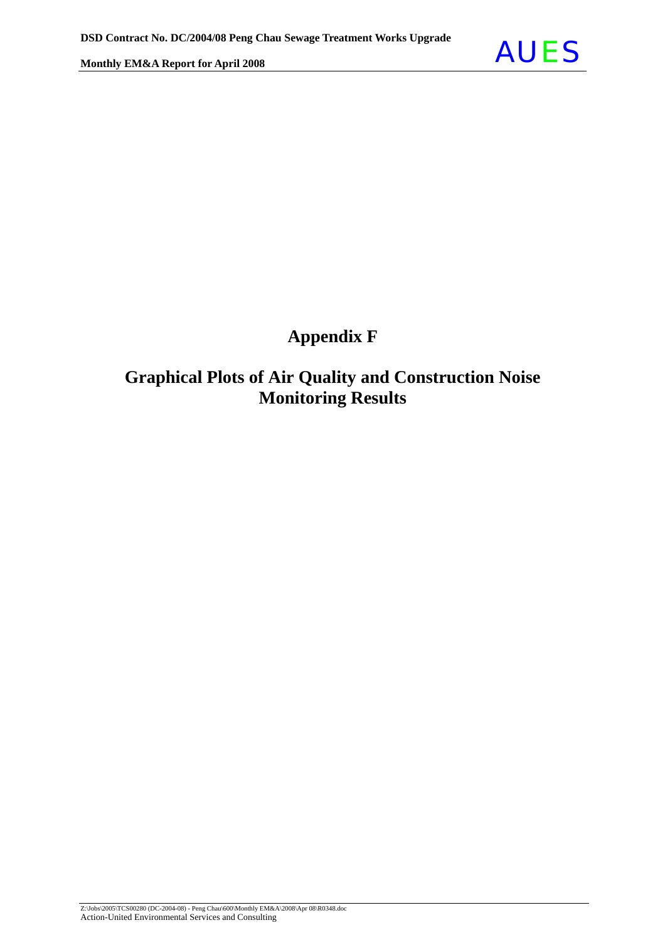

## **Appendix F**

### **Graphical Plots of Air Quality and Construction Noise Monitoring Results**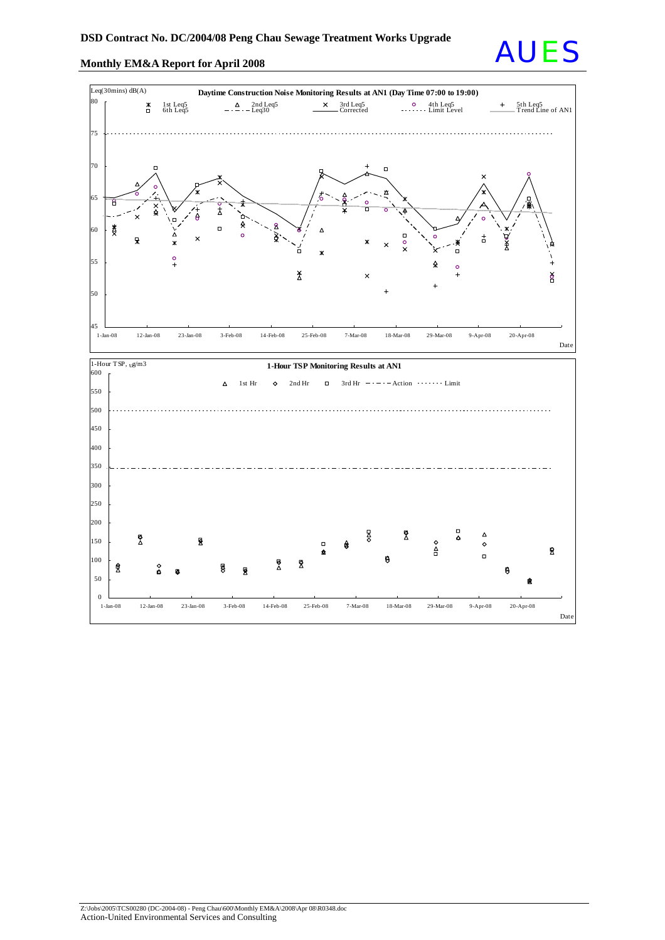

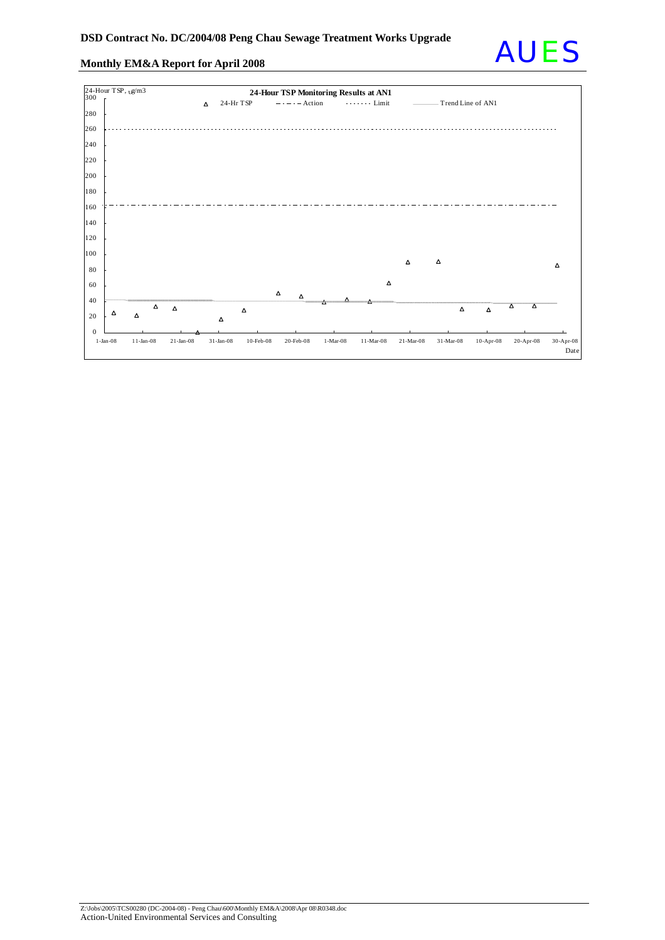

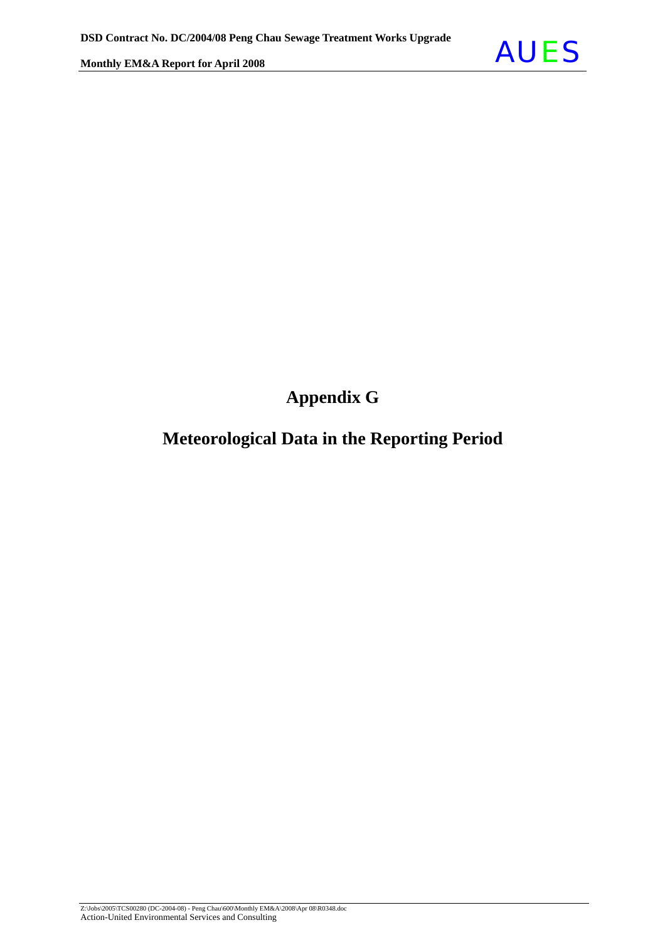

## **Appendix G**

## **Meteorological Data in the Reporting Period**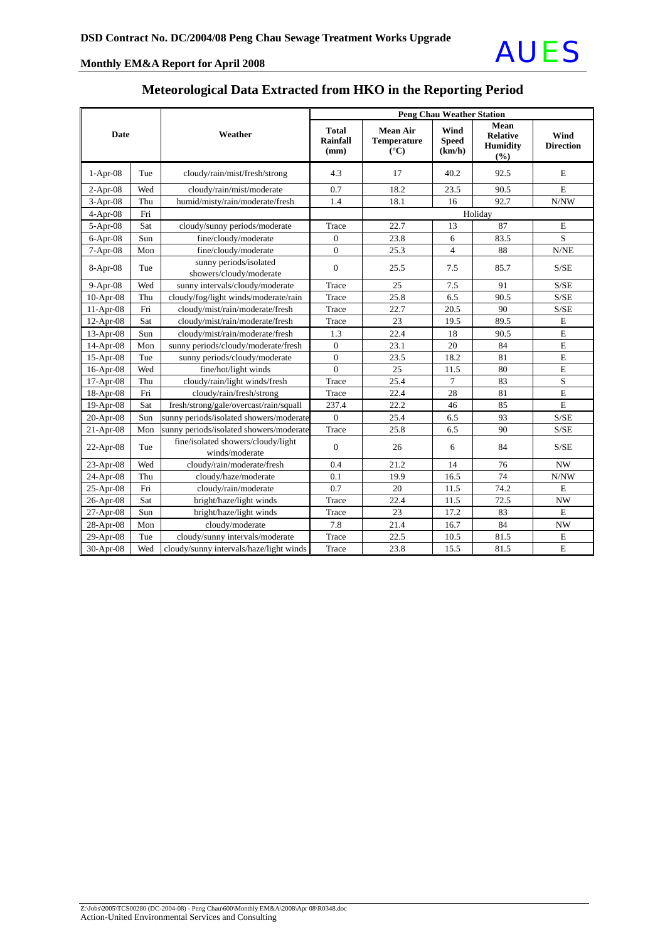

|             |     |                                                      |                                         |                                                                | <b>Peng Chau Weather Station</b> |                                                   |                          |
|-------------|-----|------------------------------------------------------|-----------------------------------------|----------------------------------------------------------------|----------------------------------|---------------------------------------------------|--------------------------|
| Date        |     | Weather                                              | <b>Total</b><br><b>Rainfall</b><br>(mm) | <b>Mean Air</b><br><b>Temperature</b><br>$({}^{\circ}{\rm C})$ | Wind<br><b>Speed</b><br>(km/h)   | Mean<br><b>Relative</b><br><b>Humidity</b><br>(%) | Wind<br><b>Direction</b> |
| $1-Apr-08$  | Tue | cloudy/rain/mist/fresh/strong                        | 4.3                                     | 17                                                             | 40.2                             | 92.5                                              | E                        |
| $2-Apr-08$  | Wed | cloudy/rain/mist/moderate                            | 0.7                                     | 18.2                                                           | 23.5                             | 90.5                                              | E                        |
| 3-Apr-08    | Thu | humid/misty/rain/moderate/fresh                      | 1.4                                     | 18.1                                                           | 16                               | 92.7                                              | N/NW                     |
| $4-Apr-08$  | Fri |                                                      |                                         |                                                                |                                  | Holiday                                           |                          |
| $5-Apr-08$  | Sat | cloudy/sunny periods/moderate                        | Trace                                   | 22.7                                                           | 13                               | 87                                                | E                        |
| $6-Apr-08$  | Sun | fine/cloudy/moderate                                 | $\mathbf{0}$                            | 23.8                                                           | 6                                | 83.5                                              | S                        |
| $7-Apr-08$  | Mon | fine/cloudy/moderate                                 | $\Omega$                                | 25.3                                                           | $\overline{4}$                   | 88                                                | N/NE                     |
| $8-Apr-08$  | Tue | sunny periods/isolated<br>showers/cloudy/moderate    | $\mathbf{0}$                            | 25.5                                                           | 7.5                              | 85.7                                              | S/SE                     |
| $9-Apr-08$  | Wed | sunny intervals/cloudy/moderate                      | Trace                                   | 25                                                             | 7.5                              | 91                                                | S/SE                     |
| $10-Apr-08$ | Thu | cloudy/fog/light winds/moderate/rain                 | Trace                                   | 25.8                                                           | 6.5                              | 90.5                                              | S/SE                     |
| $11-Apr-08$ | Fri | cloudy/mist/rain/moderate/fresh                      | Trace                                   | 22.7                                                           | 20.5                             | 90                                                | S/SE                     |
| 12-Apr-08   | Sat | cloudy/mist/rain/moderate/fresh                      | Trace                                   | 23                                                             | 19.5                             | 89.5                                              | E                        |
| 13-Apr-08   | Sun | cloudy/mist/rain/moderate/fresh                      | 1.3                                     | 22.4                                                           | 18                               | 90.5                                              | E                        |
| $14-Apr-08$ | Mon | sunny periods/cloudy/moderate/fresh                  | $\mathbf{0}$                            | 23.1                                                           | 20                               | 84                                                | $\mathbf E$              |
| 15-Apr-08   | Tue | sunny periods/cloudy/moderate                        | $\mathbf{0}$                            | 23.5                                                           | 18.2                             | 81                                                | $\mathbf E$              |
| 16-Apr-08   | Wed | fine/hot/light winds                                 | $\mathbf{0}$                            | 25                                                             | 11.5                             | 80                                                | $\mathbf E$              |
| 17-Apr-08   | Thu | cloudy/rain/light winds/fresh                        | Trace                                   | 25.4                                                           | 7                                | 83                                                | S                        |
| 18-Apr-08   | Fri | cloudy/rain/fresh/strong                             | Trace                                   | 22.4                                                           | 28                               | 81                                                | E                        |
| 19-Apr-08   | Sat | fresh/strong/gale/overcast/rain/squall               | 237.4                                   | 22.2                                                           | 46                               | 85                                                | E                        |
| $20-Apr-08$ | Sun | sunny periods/isolated showers/moderate              | $\overline{0}$                          | 25.4                                                           | 6.5                              | 93                                                | S/SE                     |
| $21-Apr-08$ | Mon | sunny periods/isolated showers/moderate              | Trace                                   | 25.8                                                           | 6.5                              | 90                                                | S/SE                     |
| 22-Apr-08   | Tue | fine/isolated showers/cloudy/light<br>winds/moderate | $\mathbf{0}$                            | 26                                                             | 6                                | 84                                                | S/SE                     |
| $23-Apr-08$ | Wed | cloudy/rain/moderate/fresh                           | 0.4                                     | 21.2                                                           | 14                               | 76                                                | <b>NW</b>                |
| 24-Apr-08   | Thu | cloudy/haze/moderate                                 | 0.1                                     | 19.9                                                           | 16.5                             | 74                                                | N/NW                     |
| 25-Apr-08   | Fri | cloudy/rain/moderate                                 | 0.7                                     | 20                                                             | 11.5                             | 74.2                                              | E                        |
| 26-Apr-08   | Sat | bright/haze/light winds                              | Trace                                   | 22.4                                                           | 11.5                             | 72.5                                              | NW                       |
| $27-Apr-08$ | Sun | bright/haze/light winds                              | Trace                                   | 23                                                             | 17.2                             | 83                                                | E                        |
| 28-Apr-08   | Mon | cloudy/moderate                                      | 7.8                                     | 21.4                                                           | 16.7                             | 84                                                | <b>NW</b>                |
| 29-Apr-08   | Tue | cloudy/sunny intervals/moderate                      | Trace                                   | 22.5                                                           | 10.5                             | 81.5                                              | Ε                        |
| 30-Apr-08   | Wed | cloudy/sunny intervals/haze/light winds              | Trace                                   | 23.8                                                           | 15.5                             | 81.5                                              | E                        |

### **Meteorological Data Extracted from HKO in the Reporting Period**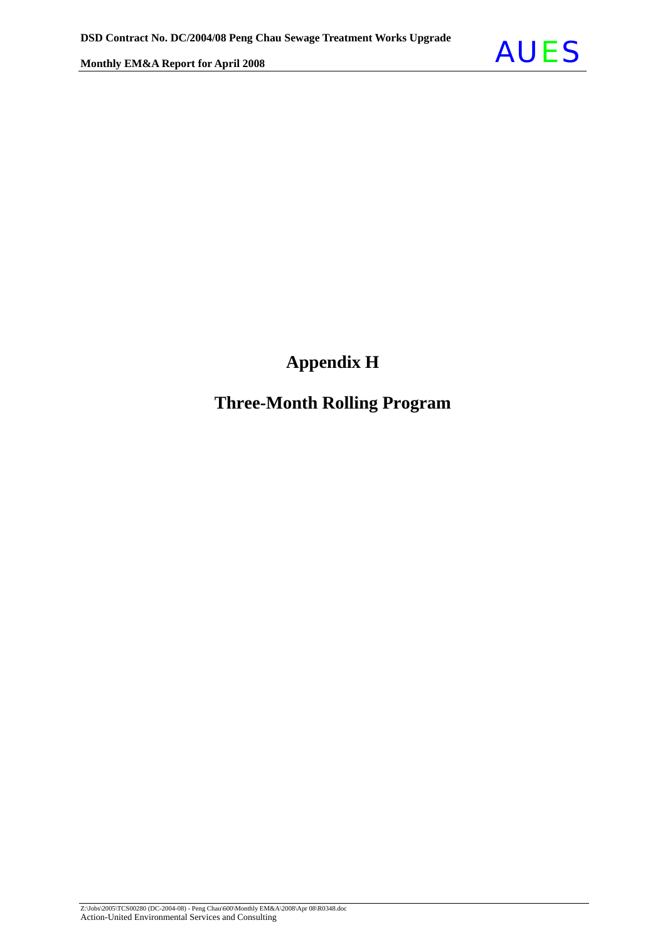## **Appendix H**

### **Three-Month Rolling Program**